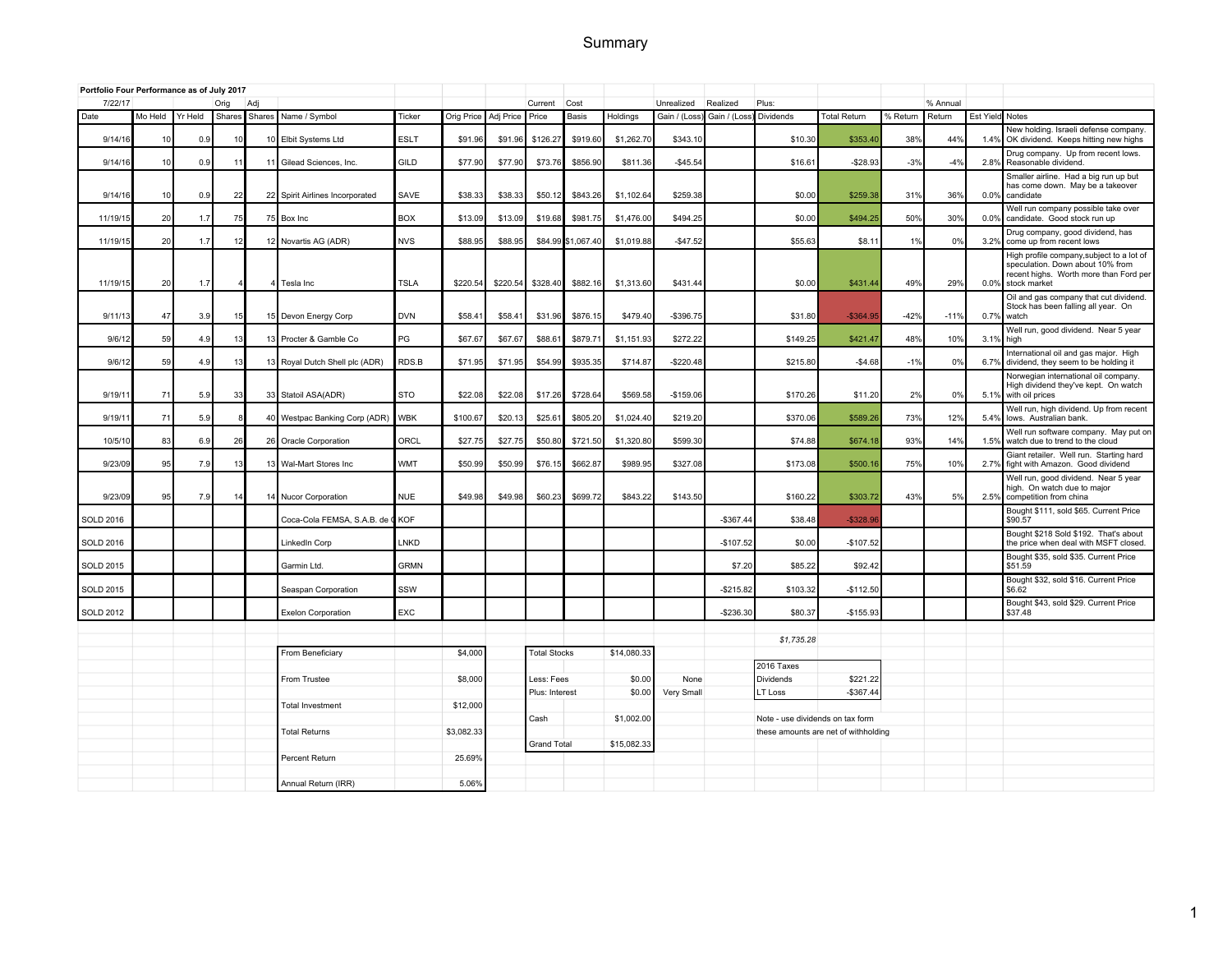# Summary

| Portfolio Four Performance as of July 2017 |         |         |        |                 |                              |             |            |           |                     |                    |             |              |               |                                  |                                      |          |          |                 |                                                                                                                                         |
|--------------------------------------------|---------|---------|--------|-----------------|------------------------------|-------------|------------|-----------|---------------------|--------------------|-------------|--------------|---------------|----------------------------------|--------------------------------------|----------|----------|-----------------|-----------------------------------------------------------------------------------------------------------------------------------------|
| 7/22/17                                    |         |         | Orig   | Adj             |                              |             |            |           | Current             | Cost               |             | Unrealized   | Realized      | Plus:                            |                                      |          | % Annual |                 |                                                                                                                                         |
| Date                                       | Mo Held | Yr Held | Shares |                 | Shares Name / Symbol         | Ticker      | Orig Price | Adj Price | Price               | Basis              | Holdings    | Gain / (Loss | Gain / (Loss) | <b>Dividends</b>                 | Total Return                         | % Return | Return   | Est Yield Notes |                                                                                                                                         |
| 9/14/16                                    | 10      | 0.9     | 10     |                 | Elbit Systems Ltd            | <b>ESLT</b> | \$91.96    | \$91.96   | \$126.2             | \$919.60           | \$1,262.70  | \$343.10     |               | \$10.30                          | \$353.4                              | 38%      | 44%      | 1.4%            | New holding. Israeli defense company.<br>OK dividend. Keeps hitting new highs                                                           |
| 9/14/16                                    | 10      | 0.9     | 11     |                 | Gilead Sciences, Inc.        | GILD        | \$77.90    | \$77.90   | \$73.76             | \$856.90           | \$811.36    | $-$45.54$    |               | \$16.61                          | $-$28.93$                            | $-3%$    | $-4%$    | 2.8%            | Drug company. Up from recent lows.<br>Reasonable dividend.                                                                              |
| 9/14/16                                    | 10      | 0.9     | 22     | 221             | Spirit Airlines Incorporated | SAVE        | \$38.33    | \$38.33   | \$50.12             | \$843.26           | \$1,102.64  | \$259.38     |               | \$0.00                           | \$259.38                             | 31%      | 36%      | 0.0%            | Smaller airline. Had a big run up but<br>has come down. May be a takeover<br>candidate                                                  |
| 11/19/15                                   | 20      | 1.7     | 75     |                 | 75 Box Inc                   | <b>BOX</b>  | \$13.09    | \$13.09   | \$19.68             | \$981.75           | \$1,476.00  | \$494.25     |               | \$0.00                           | \$494.25                             | 50%      | 30%      | 0.0%            | Well run company possible take over<br>candidate. Good stock run up                                                                     |
| 11/19/15                                   | 20      | 1.7     | 12     |                 | 12 Novartis AG (ADR)         | <b>NVS</b>  | \$88.95    | \$88.95   |                     | \$84.99 \$1,067.40 | \$1,019.88  | $-$47.52$    |               | \$55.63                          | \$8.1                                | 1%       | 0%       | 3.2%            | Drug company, good dividend, has<br>come up from recent lows                                                                            |
| 11/19/15                                   | 20      | 1.7     |        |                 | Tesla Inc                    | <b>TSLA</b> | \$220.54   | \$220.54  | \$328.40            | \$882.16           | \$1,313.60  | \$431.44     |               | \$0.00                           | \$431.44                             | 49%      | 29%      | 0.0%            | High profile company, subject to a lot of<br>speculation. Down about 10% from<br>recent highs. Worth more than Ford per<br>stock market |
| 9/11/13                                    | 47      | 3.9     | 15     |                 | 15 Devon Energy Corp         | <b>DVN</b>  | \$58.4     | \$58.4    | \$31.96             | \$876.15           | \$479.40    | $-$396.75$   |               | \$31.80                          | $-$364.9$                            | $-42%$   | $-119$   | 0.7%            | Oil and gas company that cut dividend.<br>Stock has been falling all year. On<br>watch                                                  |
| 9/6/12                                     | 59      | 4.9     | 13     | 131             | Procter & Gamble Co          | PG          | \$67.67    | \$67.67   | \$88.6              | \$879.71           | \$1,151.93  | \$272.22     |               | \$149.25                         | \$421.47                             | 48%      | 10%      | 3.1%            | Well run, good dividend. Near 5 year<br>high                                                                                            |
| 9/6/12                                     | 59      | 4.9     | 13     |                 | Royal Dutch Shell plc (ADR)  | RDS.B       | \$71.95    | \$71.95   | \$54.99             | \$935.35           | \$714.87    | $-$220.48$   |               | \$215.80                         | $-$4.68$                             | $-1%$    | 0%       | 6.7%            | International oil and gas major. High<br>dividend, they seem to be holding it                                                           |
| 9/19/1                                     | 71      | 5.9     | 33     | 33              | Statoil ASA(ADR)             | <b>STO</b>  | \$22.08    | \$22.08   | \$17.26             | \$728.64           | \$569.58    | $-$159.06$   |               | \$170.26                         | \$11.20                              | 2%       | 0%       | 5.1%            | Norwegian international oil company.<br>High dividend they've kept. On watch<br>with oil prices                                         |
| 9/19/11                                    | 71      | 5.9     |        | 40 <sup>1</sup> | Westpac Banking Corp (ADR)   | <b>WBK</b>  | \$100.67   | \$20.13   | \$25.6'             | \$805.20           | \$1,024.40  | \$219.20     |               | \$370.06                         | \$589.26                             | 73%      | 12%      | 5.4%            | Well run, high dividend. Up from recent<br>lows. Australian bank.                                                                       |
| 10/5/10                                    | 83      | 6.9     | 26     | 26              | Oracle Corporation           | ORCL        | \$27.7     | \$27.7    | \$50.80             | \$721.50           | \$1,320.80  | \$599.30     |               | \$74.88                          | \$674.1                              | 93%      | 14%      | 1.5%            | Well run software company. May put on<br>watch due to trend to the cloud                                                                |
| 9/23/09                                    | 95      | 7.9     | 13     |                 | Wal-Mart Stores Inc          | <b>WMT</b>  | \$50.99    | \$50.99   | \$76.1              | \$662.87           | \$989.95    | \$327.08     |               | \$173.08                         | \$500.1                              | 75%      | 10%      | 2.7%            | Giant retailer. Well run. Starting hard<br>fight with Amazon. Good dividend                                                             |
| 9/23/09                                    | 95      | 7.9     | 14     | 14              | Nucor Corporation            | <b>NUE</b>  | \$49.98    | \$49.98   | \$60.23             | \$699.72           | \$843.22    | \$143.50     |               | \$160.22                         | \$303.72                             | 43%      | 5%       | 2.5%            | Well run, good dividend. Near 5 year<br>high. On watch due to major<br>competition from china                                           |
| <b>SOLD 2016</b>                           |         |         |        |                 | Coca-Cola FEMSA, S.A.B. de 0 | KOF         |            |           |                     |                    |             |              | $-$367.44$    | \$38.48                          | $-$ \$328.9                          |          |          |                 | Bought \$111, sold \$65. Current Price<br>\$90.57                                                                                       |
| <b>SOLD 2016</b>                           |         |         |        |                 | LinkedIn Corp                | LNKD        |            |           |                     |                    |             |              | $-$107.52$    | \$0.00                           | $-$107.52$                           |          |          |                 | Bought \$218 Sold \$192. That's about<br>the price when deal with MSFT closed.                                                          |
| <b>SOLD 2015</b>                           |         |         |        |                 | Garmin Ltd.                  | <b>GRMN</b> |            |           |                     |                    |             |              | \$7.20        | \$85.22                          | \$92.42                              |          |          |                 | Bought \$35, sold \$35. Current Price<br>\$51.59                                                                                        |
| <b>SOLD 2015</b>                           |         |         |        |                 | Seaspan Corporation          | SSW         |            |           |                     |                    |             |              | $-$215.82$    | \$103.32                         | $-$112.50$                           |          |          |                 | Bought \$32, sold \$16. Current Price<br>\$6.62                                                                                         |
| <b>SOLD 2012</b>                           |         |         |        |                 | <b>Exelon Corporation</b>    | <b>EXC</b>  |            |           |                     |                    |             |              | -\$236.30     | \$80.37                          | $-$155.93$                           |          |          |                 | Bought \$43, sold \$29. Current Price<br>\$37.48                                                                                        |
|                                            |         |         |        |                 |                              |             |            |           |                     |                    |             |              |               | \$1,735.28                       |                                      |          |          |                 |                                                                                                                                         |
|                                            |         |         |        |                 | From Beneficiary             |             | \$4,000    |           | <b>Total Stocks</b> |                    | \$14,080.33 |              |               | 2016 Taxes                       |                                      |          |          |                 |                                                                                                                                         |
|                                            |         |         |        |                 | From Trustee                 |             | \$8,000    |           | Less: Fees          |                    | \$0.00      | None         |               | Dividends                        | \$221.22                             |          |          |                 |                                                                                                                                         |
|                                            |         |         |        |                 |                              |             |            |           | Plus: Interest      |                    | \$0.00      | Very Small   |               | LT Loss                          | $-$367.44$                           |          |          |                 |                                                                                                                                         |
|                                            |         |         |        |                 | <b>Total Investment</b>      |             | \$12,000   |           |                     |                    |             |              |               |                                  |                                      |          |          |                 |                                                                                                                                         |
|                                            |         |         |        |                 |                              |             |            |           | Cash                |                    | \$1,002.00  |              |               | Note - use dividends on tax form |                                      |          |          |                 |                                                                                                                                         |
|                                            |         |         |        |                 | <b>Total Returns</b>         |             | \$3,082.3  |           | <b>Grand Total</b>  |                    | \$15,082.33 |              |               |                                  | these amounts are net of withholding |          |          |                 |                                                                                                                                         |
|                                            |         |         |        |                 | Percent Return               |             | 25.69%     |           |                     |                    |             |              |               |                                  |                                      |          |          |                 |                                                                                                                                         |
|                                            |         |         |        |                 |                              |             |            |           |                     |                    |             |              |               |                                  |                                      |          |          |                 |                                                                                                                                         |
|                                            |         |         |        |                 | Annual Return (IRR)          |             | 5.06%      |           |                     |                    |             |              |               |                                  |                                      |          |          |                 |                                                                                                                                         |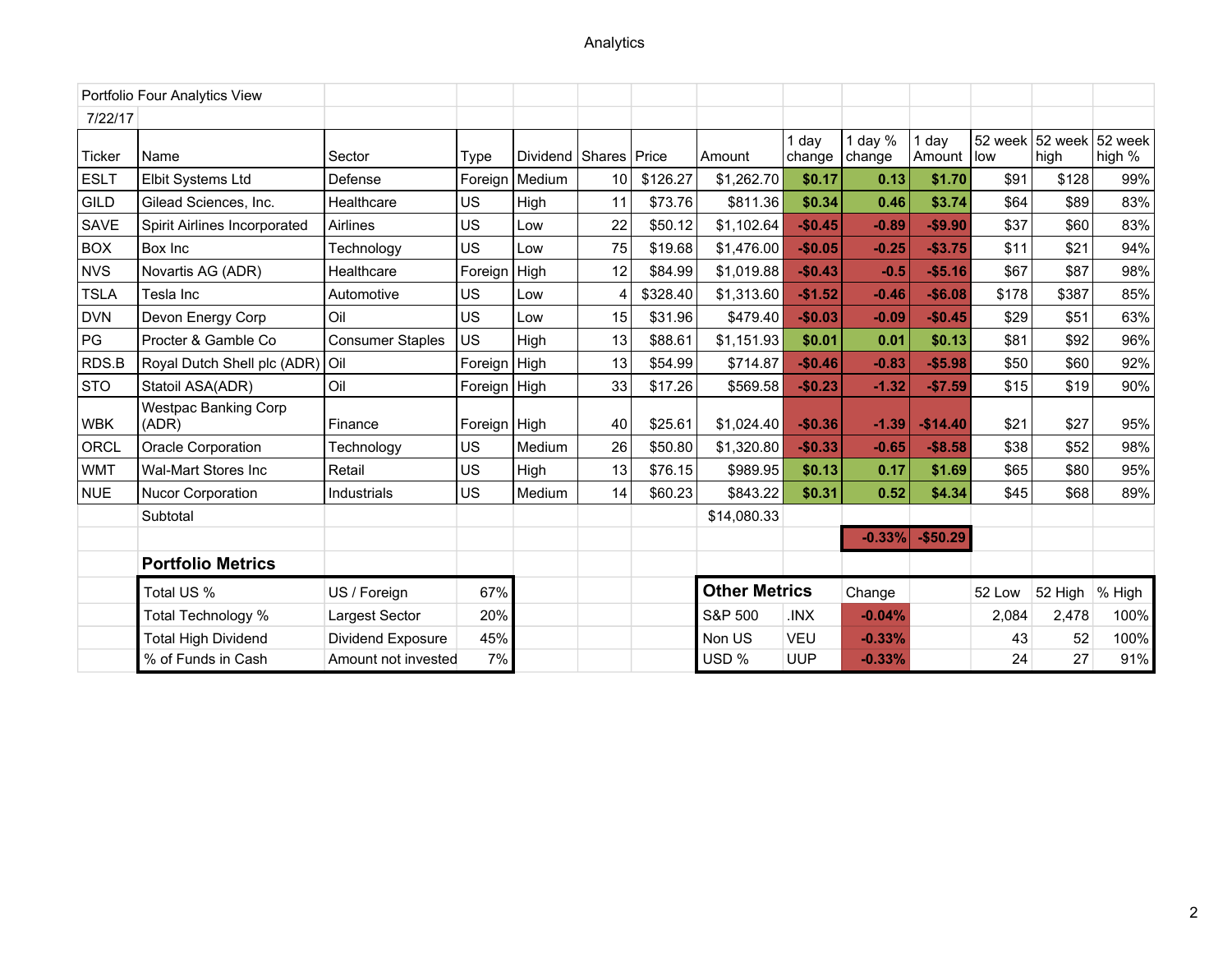|             | Portfolio Four Analytics View        |                         |              |                           |    |          |                      |                 |                     |                   |         |                 |                   |
|-------------|--------------------------------------|-------------------------|--------------|---------------------------|----|----------|----------------------|-----------------|---------------------|-------------------|---------|-----------------|-------------------|
| 7/22/17     |                                      |                         |              |                           |    |          |                      |                 |                     |                   |         |                 |                   |
| Ticker      | Name                                 | Sector                  | Type         | Dividend   Shares   Price |    |          | Amount               | 1 day<br>change | 1 day $%$<br>change | day<br>Amount low | 52 week | 52 week<br>high | 52 week<br>high % |
| <b>ESLT</b> | Elbit Systems Ltd                    | Defense                 | Foreign      | Medium                    | 10 | \$126.27 | \$1,262.70           | \$0.17          | 0.13                | \$1.70            | \$91    | \$128           | 99%               |
| <b>GILD</b> | Gilead Sciences, Inc.                | Healthcare              | US           | High                      | 11 | \$73.76  | \$811.36             | \$0.34          | 0.46                | \$3.74            | \$64    | \$89            | 83%               |
| <b>SAVE</b> | Spirit Airlines Incorporated         | Airlines                | US           | Low                       | 22 | \$50.12  | \$1,102.64           | $-$0.45$        | $-0.89$             | $-$9.90$          | \$37    | \$60            | 83%               |
| <b>BOX</b>  | Box Inc                              | Technology              | US           | Low                       | 75 | \$19.68  | \$1,476.00           | $-$0.05$        | $-0.25$             | $-$3.75$          | \$11    | \$21            | 94%               |
| <b>NVS</b>  | Novartis AG (ADR)                    | Healthcare              | Foreign      | High                      | 12 | \$84.99  | \$1,019.88           | $-$0.43$        | $-0.5$              | $-$5.16$          | \$67    | \$87            | 98%               |
| <b>TSLA</b> | Tesla Inc                            | Automotive              | <b>US</b>    | Low                       |    | \$328.40 | \$1,313.60           | $-$1.52$        | $-0.46$             | $-$6.08$          | \$178   | \$387           | 85%               |
| <b>DVN</b>  | Devon Energy Corp                    | Oil                     | <b>US</b>    | Low                       | 15 | \$31.96  | \$479.40             | $-$0.03$        | $-0.09$             | $-$0.45$          | \$29    | \$51            | 63%               |
| PG          | Procter & Gamble Co                  | <b>Consumer Staples</b> | US.          | High                      | 13 | \$88.61  | \$1,151.93           | \$0.01          | 0.01                | \$0.13            | \$81    | \$92            | 96%               |
| RDS.B       | Royal Dutch Shell plc (ADR)          | Oil                     | Foreign      | High                      | 13 | \$54.99  | \$714.87             | $-$0.46$        | $-0.83$             | $-$5.98$          | \$50    | \$60            | 92%               |
| <b>STO</b>  | Statoil ASA(ADR)                     | Oil                     | Foreign      | High                      | 33 | \$17.26  | \$569.58             | $-$0.23$        | $-1.32$             | $-$7.59$          | \$15    | \$19            | 90%               |
| WBK         | <b>Westpac Banking Corp</b><br>(ADR) | Finance                 | Foreign High |                           | 40 | \$25.61  | \$1,024.40           | $-$0.36$        | $-1.39$             | $-$14.40$         | \$21    | \$27            | 95%               |
| ORCL        | <b>Oracle Corporation</b>            | Technology              | US           | Medium                    | 26 | \$50.80  | \$1,320.80           | $-$0.33$        | $-0.65$             | $-$8.58$          | \$38    | \$52            | 98%               |
| <b>WMT</b>  | Wal-Mart Stores Inc                  | Retail                  | US           | High                      | 13 | \$76.15  | \$989.95             | \$0.13          | 0.17                | \$1.69            | \$65    | \$80            | 95%               |
| <b>NUE</b>  | Nucor Corporation                    | Industrials             | US           | Medium                    | 14 | \$60.23  | \$843.22             | \$0.31          | 0.52                | \$4.34            | \$45    | \$68            | 89%               |
|             | Subtotal                             |                         |              |                           |    |          | \$14,080.33          |                 |                     |                   |         |                 |                   |
|             |                                      |                         |              |                           |    |          |                      |                 | $-0.33%$            | $-$50.29$         |         |                 |                   |
|             | <b>Portfolio Metrics</b>             |                         |              |                           |    |          |                      |                 |                     |                   |         |                 |                   |
|             | Total US %                           | US / Foreign            | 67%          |                           |    |          | <b>Other Metrics</b> |                 | Change              |                   | 52 Low  | 52 High         | % High            |
|             | Total Technology %                   | Largest Sector          | 20%          |                           |    |          | S&P 500              | XMI.            | $-0.04%$            |                   | 2,084   | 2,478           | 100%              |
|             | <b>Total High Dividend</b>           | Dividend Exposure       | 45%          |                           |    |          | Non US               | <b>VEU</b>      | $-0.33%$            |                   | 43      | 52              | 100%              |
|             | % of Funds in Cash                   | Amount not invested     | 7%           |                           |    |          | USD %                | <b>UUP</b>      | $-0.33%$            |                   | 24      | 27              | 91%               |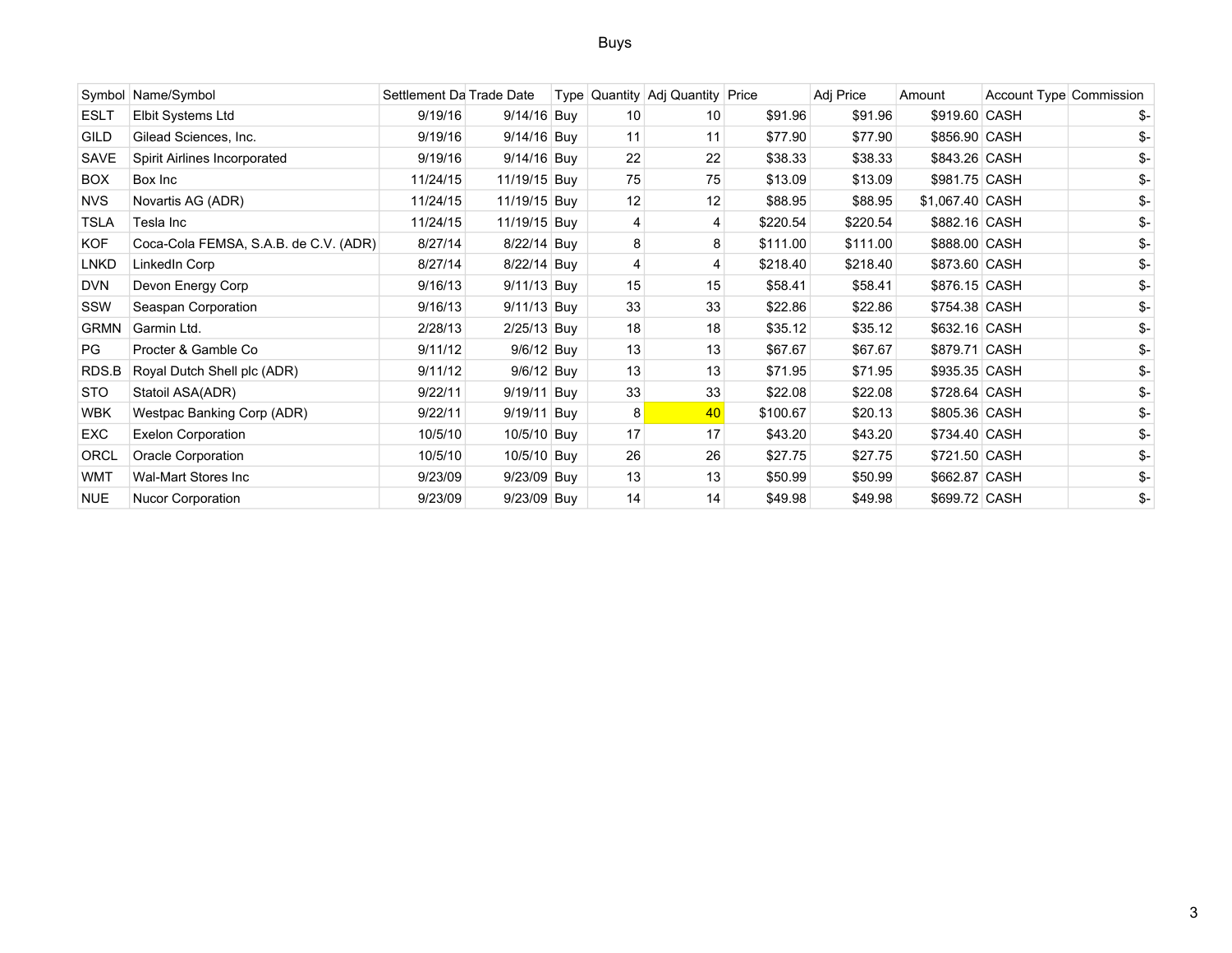## Buys

|             | Symbol Name/Symbol                    | Settlement Da Trade Date |               |    | Type Quantity Adj Quantity Price |          | Adj Price | Amount          | Account Type Commission |     |
|-------------|---------------------------------------|--------------------------|---------------|----|----------------------------------|----------|-----------|-----------------|-------------------------|-----|
| <b>ESLT</b> | Elbit Systems Ltd                     | 9/19/16                  | 9/14/16 Buy   | 10 | 10                               | \$91.96  | \$91.96   | \$919.60 CASH   |                         | \$- |
| <b>GILD</b> | Gilead Sciences, Inc.                 | 9/19/16                  | 9/14/16 Buy   | 11 | 11                               | \$77.90  | \$77.90   | \$856.90 CASH   |                         | \$- |
| SAVE        | Spirit Airlines Incorporated          | 9/19/16                  | 9/14/16 Buy   | 22 | 22                               | \$38.33  | \$38.33   | \$843.26 CASH   |                         | \$- |
| BOX         | Box Inc                               | 11/24/15                 | 11/19/15 Buy  | 75 | 75                               | \$13.09  | \$13.09   | \$981.75 CASH   |                         | \$- |
| <b>NVS</b>  | Novartis AG (ADR)                     | 11/24/15                 | 11/19/15 Buy  | 12 | 12                               | \$88.95  | \$88.95   | \$1,067.40 CASH |                         | \$- |
| <b>TSLA</b> | Tesla Inc                             | 11/24/15                 | 11/19/15 Buy  |    | 4                                | \$220.54 | \$220.54  | \$882.16 CASH   |                         | \$- |
| KOF         | Coca-Cola FEMSA, S.A.B. de C.V. (ADR) | 8/27/14                  | 8/22/14 Buy   |    | 8                                | \$111.00 | \$111.00  | \$888.00 CASH   |                         | \$- |
| <b>LNKD</b> | LinkedIn Corp                         | 8/27/14                  | 8/22/14 Buy   |    | 4                                | \$218.40 | \$218.40  | \$873.60 CASH   |                         | \$- |
| <b>DVN</b>  | Devon Energy Corp                     | 9/16/13                  | 9/11/13 Buy   | 15 | 15                               | \$58.41  | \$58.41   | \$876.15 CASH   |                         |     |
| SSW         | Seaspan Corporation                   | 9/16/13                  | $9/11/13$ Buy | 33 | 33                               | \$22.86  | \$22.86   | \$754.38 CASH   |                         | \$- |
| <b>GRMN</b> | Garmin Ltd.                           | 2/28/13                  | $2/25/13$ Buy | 18 | 18                               | \$35.12  | \$35.12   | \$632.16 CASH   |                         | \$- |
| PG          | Procter & Gamble Co                   | 9/11/12                  | 9/6/12 Buy    | 13 | 13                               | \$67.67  | \$67.67   | \$879.71 CASH   |                         | \$- |
| RDS.B       | Royal Dutch Shell plc (ADR)           | 9/11/12                  | 9/6/12 Buy    | 13 | 13                               | \$71.95  | \$71.95   | \$935.35 CASH   |                         |     |
| <b>STO</b>  | Statoil ASA(ADR)                      | 9/22/11                  | 9/19/11 Buy   | 33 | 33                               | \$22.08  | \$22.08   | \$728.64 CASH   |                         | \$- |
| WBK         | Westpac Banking Corp (ADR)            | 9/22/11                  | 9/19/11 Buy   | 8  | 40                               | \$100.67 | \$20.13   | \$805.36 CASH   |                         | \$- |
| <b>EXC</b>  | <b>Exelon Corporation</b>             | 10/5/10                  | 10/5/10 Buy   | 17 | 17                               | \$43.20  | \$43.20   | \$734.40 CASH   |                         | \$- |
| ORCL        | Oracle Corporation                    | 10/5/10                  | 10/5/10 Buy   | 26 | 26                               | \$27.75  | \$27.75   | \$721.50 CASH   |                         |     |
| <b>WMT</b>  | Wal-Mart Stores Inc                   | 9/23/09                  | 9/23/09 Buy   | 13 | 13                               | \$50.99  | \$50.99   | \$662.87 CASH   |                         | \$- |
| NUE         | Nucor Corporation                     | 9/23/09                  | 9/23/09 Buy   | 14 | 14                               | \$49.98  | \$49.98   | \$699.72 CASH   |                         | \$- |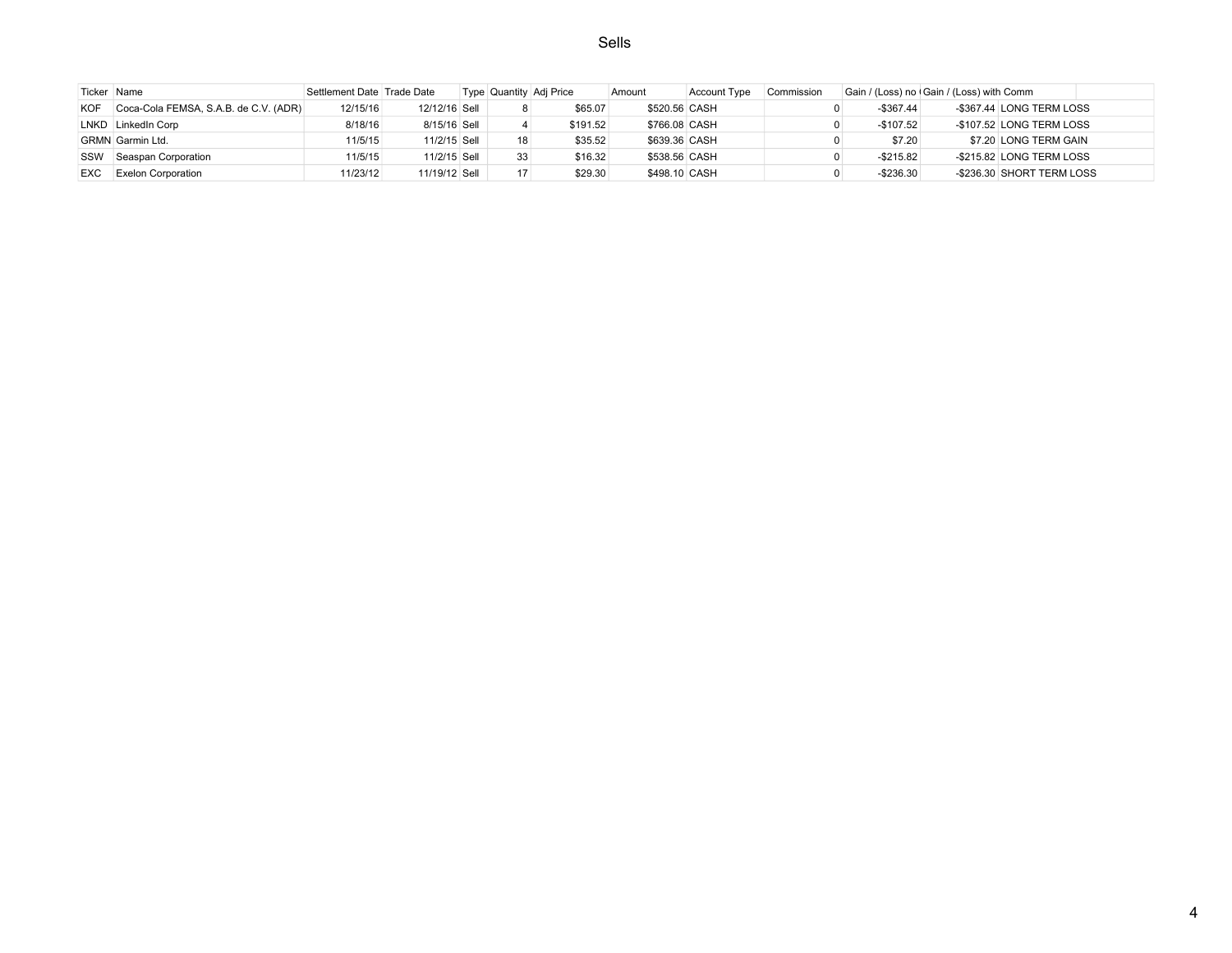Sells

|            | Ticker Name                           | Settlement Date Trade Date |               |    | Type Quantity Adj Price | Amount        | <b>Account Type</b> | Commission | Gain / (Loss) no Gain / (Loss) with Comm |                           |  |
|------------|---------------------------------------|----------------------------|---------------|----|-------------------------|---------------|---------------------|------------|------------------------------------------|---------------------------|--|
| <b>KOF</b> | Coca-Cola FEMSA, S.A.B. de C.V. (ADR) | 12/15/16                   | 12/12/16 Sell |    | \$65.07                 | \$520.56 CASH |                     |            | $-$367.44$                               | -\$367.44 LONG TERM LOSS  |  |
|            | LNKD LinkedIn Corp                    | 8/18/16                    | 8/15/16 Sell  |    | \$191.52                | \$766.08 CASH |                     |            | $-$107.52$                               | -\$107.52 LONG TERM LOSS  |  |
|            | GRMN Garmin Ltd.                      | 11/5/15                    | 11/2/15 Sell  | 18 | \$35.52                 | \$639.36 CASH |                     |            | \$7.20                                   | \$7.20 LONG TERM GAIN     |  |
| SSW        | Seaspan Corporation                   | 11/5/15                    | 11/2/15 Sell  | 33 | \$16.32                 | \$538.56 CASH |                     |            | $-$215.82$                               | -\$215.82 LONG TERM LOSS  |  |
| EXC.       | <b>Exelon Corporation</b>             | 11/23/12                   | 11/19/12 Sell | 17 | \$29.30                 | \$498.10 CASH |                     |            | $-$236.30$                               | -\$236.30 SHORT TERM LOSS |  |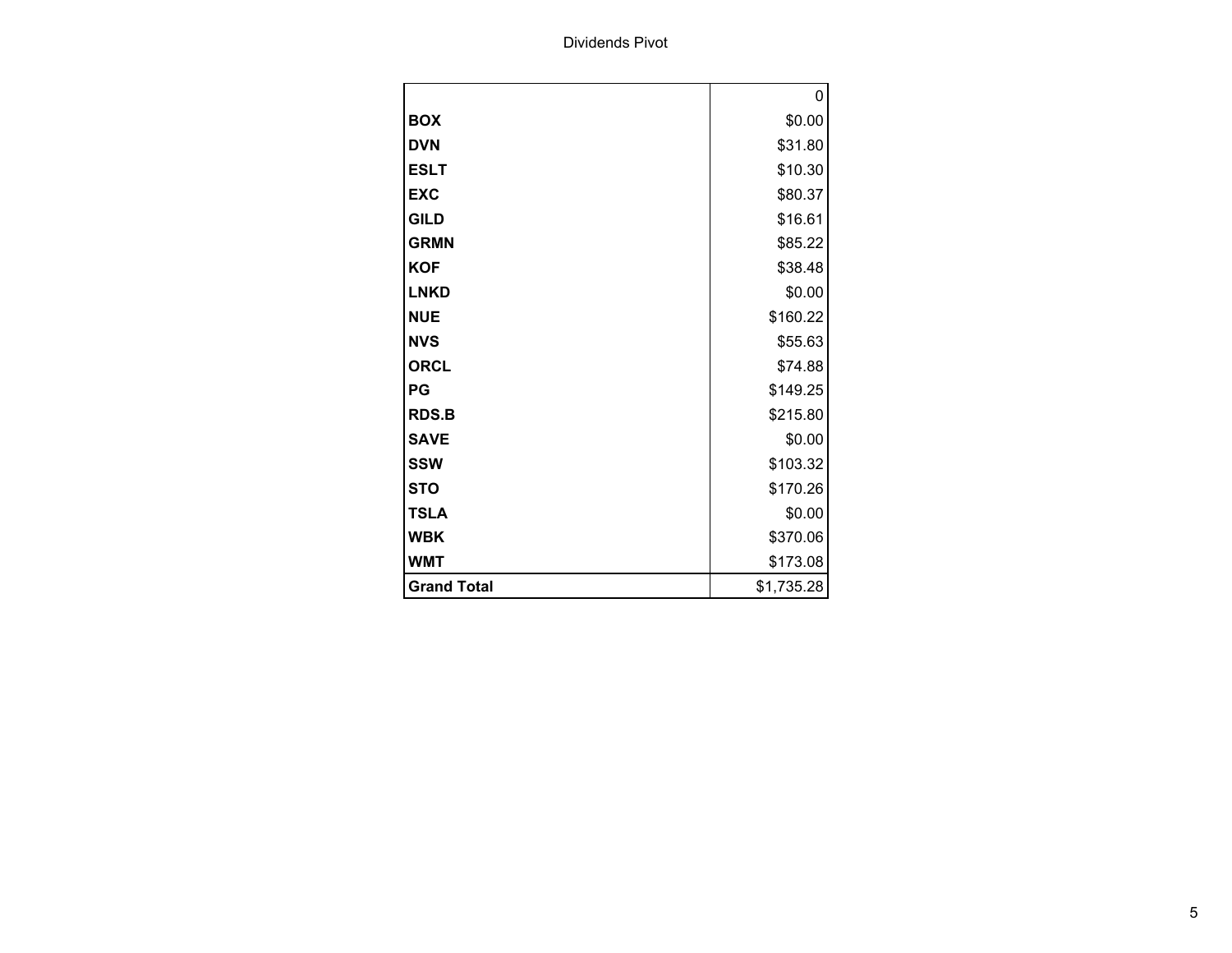Dividends Pivot

|                    | 0          |
|--------------------|------------|
| <b>BOX</b>         | \$0.00     |
| <b>DVN</b>         | \$31.80    |
| <b>ESLT</b>        | \$10.30    |
| <b>EXC</b>         | \$80.37    |
| <b>GILD</b>        | \$16.61    |
| <b>GRMN</b>        | \$85.22    |
| <b>KOF</b>         | \$38.48    |
| <b>LNKD</b>        | \$0.00     |
| <b>NUE</b>         | \$160.22   |
| <b>NVS</b>         | \$55.63    |
| <b>ORCL</b>        | \$74.88    |
| PG                 | \$149.25   |
| <b>RDS.B</b>       | \$215.80   |
| <b>SAVE</b>        | \$0.00     |
| <b>SSW</b>         | \$103.32   |
| <b>STO</b>         | \$170.26   |
| <b>TSLA</b>        | \$0.00     |
| <b>WBK</b>         | \$370.06   |
| <b>WMT</b>         | \$173.08   |
| <b>Grand Total</b> | \$1,735.28 |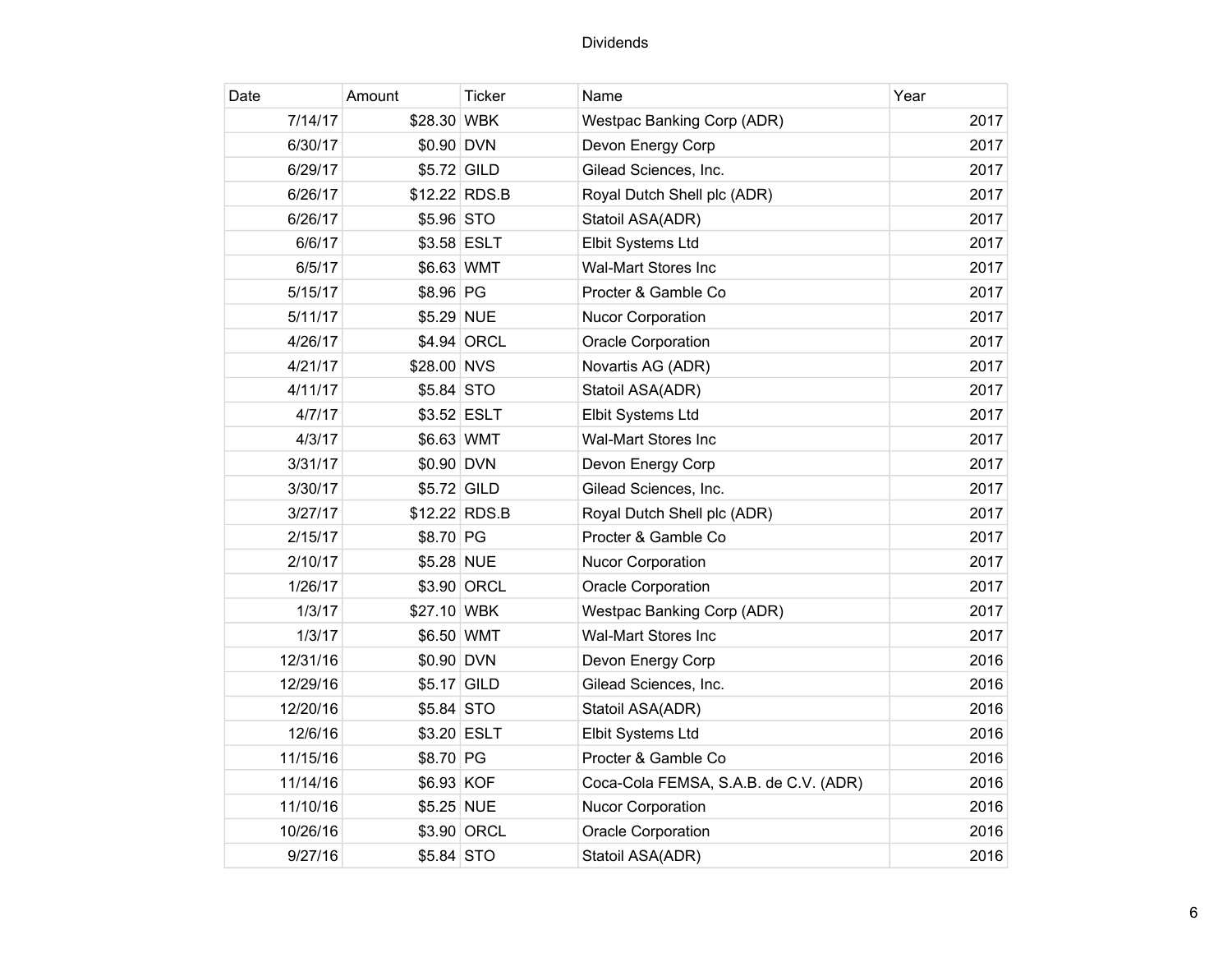| Date     | Amount      | <b>Ticker</b> | Name                                  | Year |
|----------|-------------|---------------|---------------------------------------|------|
| 7/14/17  | \$28.30 WBK |               | Westpac Banking Corp (ADR)            | 2017 |
| 6/30/17  | \$0.90 DVN  |               | Devon Energy Corp                     | 2017 |
| 6/29/17  | \$5.72 GILD |               | Gilead Sciences, Inc.                 | 2017 |
| 6/26/17  |             | \$12.22 RDS.B | Royal Dutch Shell plc (ADR)           | 2017 |
| 6/26/17  | \$5.96 STO  |               | Statoil ASA(ADR)                      | 2017 |
| 6/6/17   |             | \$3.58 ESLT   | Elbit Systems Ltd                     | 2017 |
| 6/5/17   | \$6.63 WMT  |               | <b>Wal-Mart Stores Inc</b>            | 2017 |
| 5/15/17  | \$8.96 PG   |               | Procter & Gamble Co                   | 2017 |
| 5/11/17  | \$5.29 NUE  |               | <b>Nucor Corporation</b>              | 2017 |
| 4/26/17  |             | \$4.94 ORCL   | <b>Oracle Corporation</b>             | 2017 |
| 4/21/17  | \$28.00 NVS |               | Novartis AG (ADR)                     | 2017 |
| 4/11/17  | \$5.84 STO  |               | Statoil ASA(ADR)                      | 2017 |
| 4/7/17   |             | \$3.52 ESLT   | Elbit Systems Ltd                     | 2017 |
| 4/3/17   | \$6.63 WMT  |               | <b>Wal-Mart Stores Inc</b>            | 2017 |
| 3/31/17  | \$0.90 DVN  |               | Devon Energy Corp                     | 2017 |
| 3/30/17  | \$5.72 GILD |               | Gilead Sciences, Inc.                 | 2017 |
| 3/27/17  |             | \$12.22 RDS.B | Royal Dutch Shell plc (ADR)           | 2017 |
| 2/15/17  | \$8.70 PG   |               | Procter & Gamble Co                   | 2017 |
| 2/10/17  | \$5.28 NUE  |               | <b>Nucor Corporation</b>              | 2017 |
| 1/26/17  |             | \$3.90 ORCL   | <b>Oracle Corporation</b>             | 2017 |
| 1/3/17   | \$27.10 WBK |               | <b>Westpac Banking Corp (ADR)</b>     | 2017 |
| 1/3/17   | \$6.50 WMT  |               | Wal-Mart Stores Inc                   | 2017 |
| 12/31/16 | \$0.90 DVN  |               | Devon Energy Corp                     | 2016 |
| 12/29/16 | \$5.17 GILD |               | Gilead Sciences, Inc.                 | 2016 |
| 12/20/16 | \$5.84 STO  |               | Statoil ASA(ADR)                      | 2016 |
| 12/6/16  |             | \$3.20 ESLT   | Elbit Systems Ltd                     | 2016 |
| 11/15/16 | \$8.70 PG   |               | Procter & Gamble Co                   | 2016 |
| 11/14/16 | \$6.93 KOF  |               | Coca-Cola FEMSA, S.A.B. de C.V. (ADR) | 2016 |
| 11/10/16 | \$5.25 NUE  |               | <b>Nucor Corporation</b>              | 2016 |
| 10/26/16 |             | \$3.90 ORCL   | <b>Oracle Corporation</b>             | 2016 |
| 9/27/16  | \$5.84 STO  |               | Statoil ASA(ADR)                      | 2016 |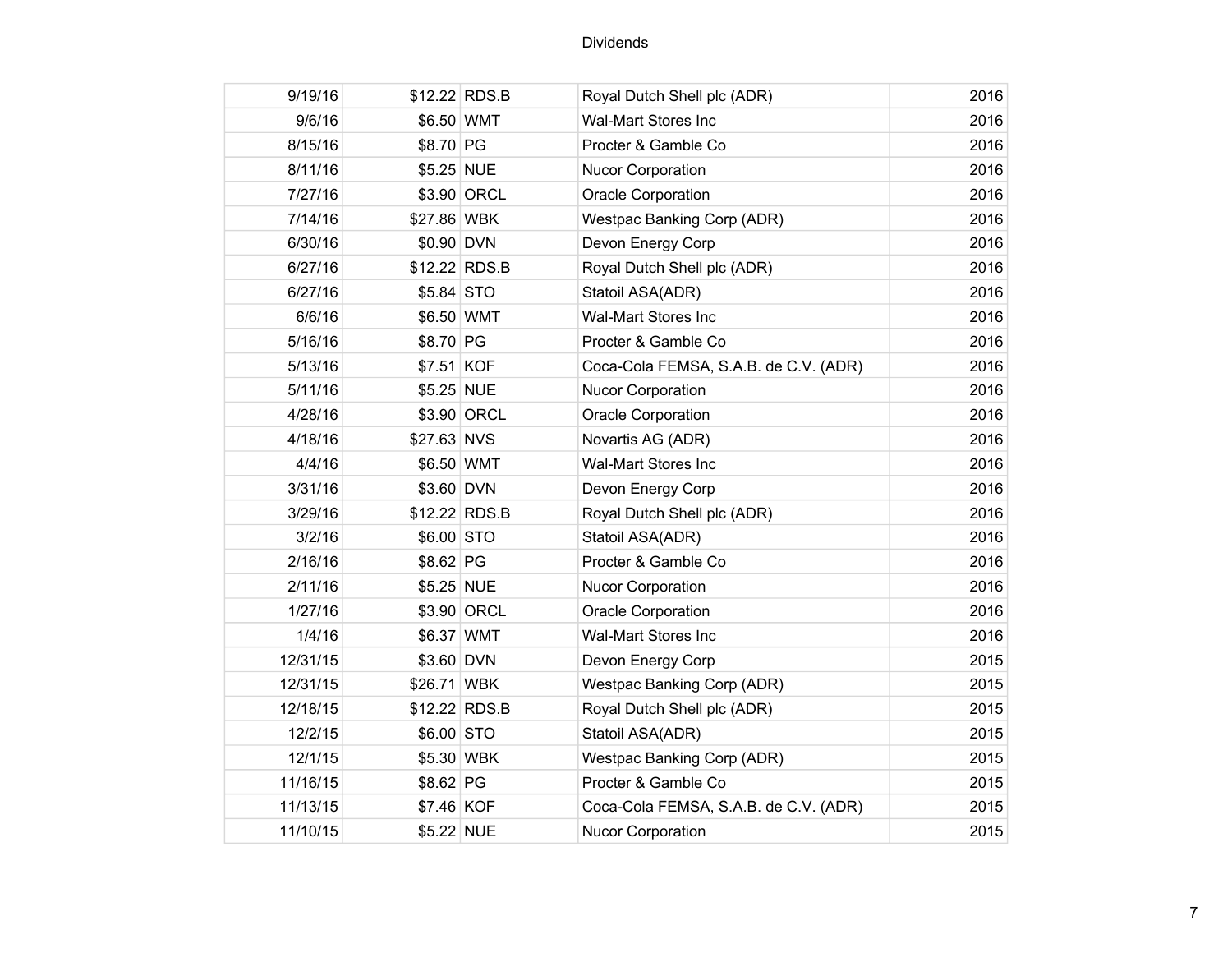| 9/19/16  |             | \$12.22 RDS.B | Royal Dutch Shell plc (ADR)           | 2016 |
|----------|-------------|---------------|---------------------------------------|------|
| 9/6/16   | \$6.50 WMT  |               | <b>Wal-Mart Stores Inc</b>            | 2016 |
| 8/15/16  | \$8.70 PG   |               | Procter & Gamble Co                   | 2016 |
| 8/11/16  | \$5.25 NUE  |               | Nucor Corporation                     | 2016 |
| 7/27/16  |             | \$3.90 ORCL   | <b>Oracle Corporation</b>             | 2016 |
| 7/14/16  | \$27.86 WBK |               | Westpac Banking Corp (ADR)            | 2016 |
| 6/30/16  | \$0.90 DVN  |               | Devon Energy Corp                     | 2016 |
| 6/27/16  |             | \$12.22 RDS.B | Royal Dutch Shell plc (ADR)           | 2016 |
| 6/27/16  | \$5.84 STO  |               | Statoil ASA(ADR)                      | 2016 |
| 6/6/16   | \$6.50 WMT  |               | Wal-Mart Stores Inc                   | 2016 |
| 5/16/16  | \$8.70 PG   |               | Procter & Gamble Co                   | 2016 |
| 5/13/16  | \$7.51 KOF  |               | Coca-Cola FEMSA, S.A.B. de C.V. (ADR) | 2016 |
| 5/11/16  | \$5.25 NUE  |               | Nucor Corporation                     | 2016 |
| 4/28/16  |             | \$3.90 ORCL   | <b>Oracle Corporation</b>             | 2016 |
| 4/18/16  | \$27.63 NVS |               | Novartis AG (ADR)                     | 2016 |
| 4/4/16   | \$6.50 WMT  |               | <b>Wal-Mart Stores Inc</b>            | 2016 |
| 3/31/16  | \$3.60 DVN  |               | Devon Energy Corp                     | 2016 |
| 3/29/16  |             | \$12.22 RDS.B | Royal Dutch Shell plc (ADR)           | 2016 |
| 3/2/16   | \$6.00 STO  |               | Statoil ASA(ADR)                      | 2016 |
| 2/16/16  | \$8.62 PG   |               | Procter & Gamble Co                   | 2016 |
| 2/11/16  | \$5.25 NUE  |               | <b>Nucor Corporation</b>              | 2016 |
| 1/27/16  |             | \$3.90 ORCL   | <b>Oracle Corporation</b>             | 2016 |
| 1/4/16   | \$6.37 WMT  |               | Wal-Mart Stores Inc                   | 2016 |
| 12/31/15 | \$3.60 DVN  |               | Devon Energy Corp                     | 2015 |
| 12/31/15 | \$26.71 WBK |               | <b>Westpac Banking Corp (ADR)</b>     | 2015 |
| 12/18/15 |             | \$12.22 RDS.B | Royal Dutch Shell plc (ADR)           | 2015 |
| 12/2/15  | \$6.00 STO  |               | Statoil ASA(ADR)                      | 2015 |
| 12/1/15  | \$5.30 WBK  |               | Westpac Banking Corp (ADR)            | 2015 |
| 11/16/15 | \$8.62 PG   |               | Procter & Gamble Co                   | 2015 |
| 11/13/15 | \$7.46 KOF  |               | Coca-Cola FEMSA, S.A.B. de C.V. (ADR) | 2015 |
| 11/10/15 | \$5.22 NUE  |               | Nucor Corporation                     | 2015 |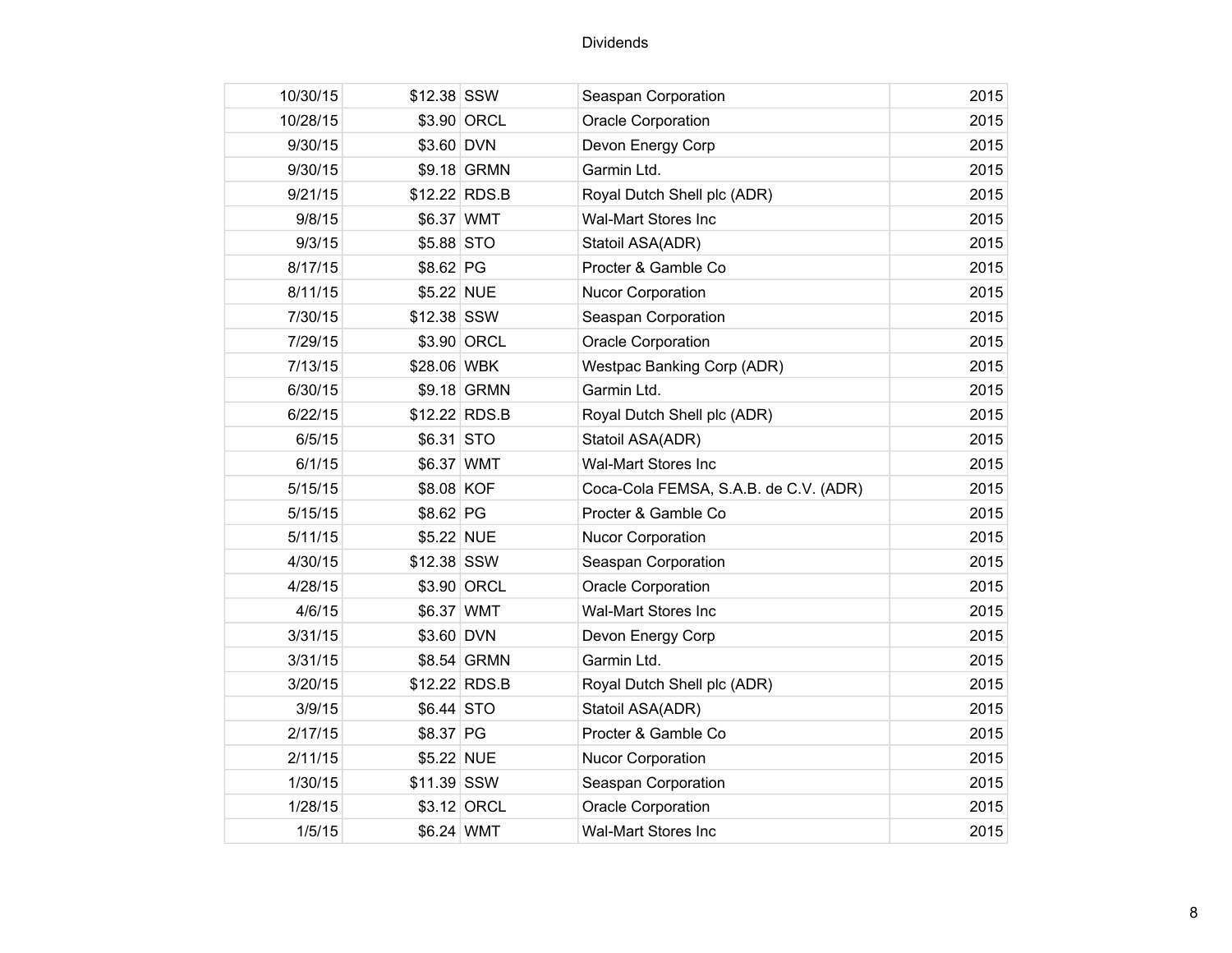| 10/30/15 | \$12.38 SSW   |             | Seaspan Corporation                   | 2015 |
|----------|---------------|-------------|---------------------------------------|------|
| 10/28/15 |               | \$3.90 ORCL | Oracle Corporation                    | 2015 |
| 9/30/15  | \$3.60 DVN    |             | Devon Energy Corp                     | 2015 |
| 9/30/15  |               | \$9.18 GRMN | Garmin Ltd.                           | 2015 |
| 9/21/15  | \$12.22 RDS.B |             | Royal Dutch Shell plc (ADR)           | 2015 |
| 9/8/15   | \$6.37 WMT    |             | <b>Wal-Mart Stores Inc</b>            | 2015 |
| 9/3/15   | \$5.88 STO    |             | Statoil ASA(ADR)                      | 2015 |
| 8/17/15  | \$8.62 PG     |             | Procter & Gamble Co                   | 2015 |
| 8/11/15  | \$5.22 NUE    |             | <b>Nucor Corporation</b>              | 2015 |
| 7/30/15  | \$12.38 SSW   |             | Seaspan Corporation                   | 2015 |
| 7/29/15  |               | \$3.90 ORCL | <b>Oracle Corporation</b>             | 2015 |
| 7/13/15  | \$28.06 WBK   |             | <b>Westpac Banking Corp (ADR)</b>     | 2015 |
| 6/30/15  |               | \$9.18 GRMN | Garmin Ltd.                           | 2015 |
| 6/22/15  | \$12.22 RDS.B |             | Royal Dutch Shell plc (ADR)           | 2015 |
| 6/5/15   | \$6.31 STO    |             | Statoil ASA(ADR)                      | 2015 |
| 6/1/15   | \$6.37 WMT    |             | <b>Wal-Mart Stores Inc</b>            | 2015 |
| 5/15/15  | \$8.08 KOF    |             | Coca-Cola FEMSA, S.A.B. de C.V. (ADR) | 2015 |
| 5/15/15  | \$8.62 PG     |             | Procter & Gamble Co                   | 2015 |
| 5/11/15  | \$5.22 NUE    |             | <b>Nucor Corporation</b>              | 2015 |
| 4/30/15  | \$12.38 SSW   |             | Seaspan Corporation                   | 2015 |
| 4/28/15  |               | \$3.90 ORCL | <b>Oracle Corporation</b>             | 2015 |
| 4/6/15   | \$6.37 WMT    |             | <b>Wal-Mart Stores Inc</b>            | 2015 |
| 3/31/15  | \$3.60 DVN    |             | Devon Energy Corp                     | 2015 |
| 3/31/15  |               | \$8.54 GRMN | Garmin Ltd.                           | 2015 |
| 3/20/15  | \$12.22 RDS.B |             | Royal Dutch Shell plc (ADR)           | 2015 |
| 3/9/15   | \$6.44 STO    |             | Statoil ASA(ADR)                      | 2015 |
| 2/17/15  | \$8.37 PG     |             | Procter & Gamble Co                   | 2015 |
| 2/11/15  | \$5.22 NUE    |             | <b>Nucor Corporation</b>              | 2015 |
| 1/30/15  | \$11.39 SSW   |             | Seaspan Corporation                   | 2015 |
| 1/28/15  |               | \$3.12 ORCL | <b>Oracle Corporation</b>             | 2015 |
| 1/5/15   | \$6.24 WMT    |             | <b>Wal-Mart Stores Inc</b>            | 2015 |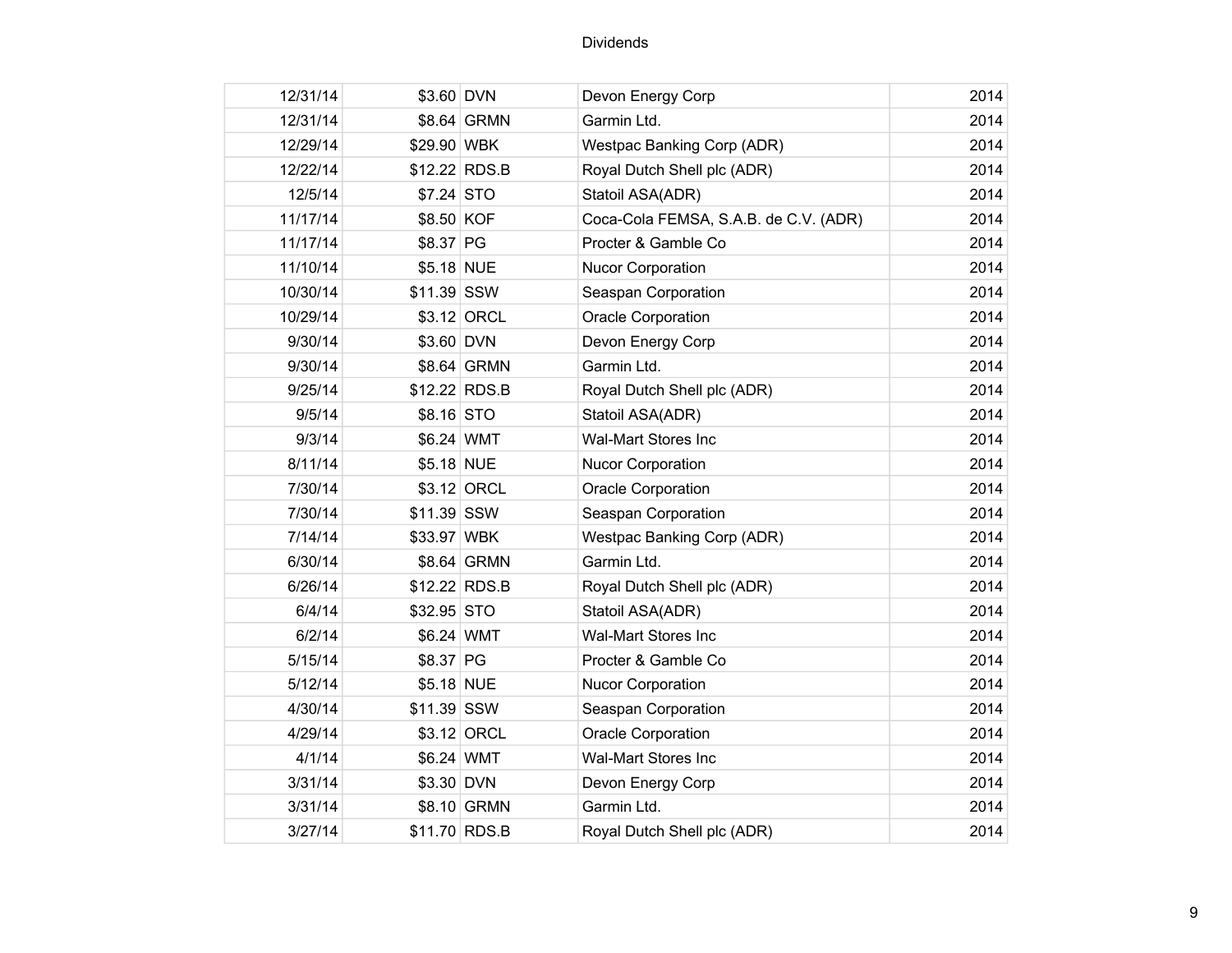| 12/31/14 | \$3.60 DVN    |               | Devon Energy Corp                     | 2014 |
|----------|---------------|---------------|---------------------------------------|------|
| 12/31/14 |               | \$8.64 GRMN   | Garmin Ltd.                           | 2014 |
| 12/29/14 | \$29.90 WBK   |               | <b>Westpac Banking Corp (ADR)</b>     | 2014 |
| 12/22/14 | \$12.22 RDS.B |               | Royal Dutch Shell plc (ADR)           | 2014 |
| 12/5/14  | \$7.24 STO    |               | Statoil ASA(ADR)                      | 2014 |
| 11/17/14 | \$8.50 KOF    |               | Coca-Cola FEMSA, S.A.B. de C.V. (ADR) | 2014 |
| 11/17/14 | \$8.37 PG     |               | Procter & Gamble Co                   | 2014 |
| 11/10/14 | \$5.18 NUE    |               | <b>Nucor Corporation</b>              | 2014 |
| 10/30/14 | \$11.39 SSW   |               | Seaspan Corporation                   | 2014 |
| 10/29/14 |               | \$3.12 ORCL   | Oracle Corporation                    | 2014 |
| 9/30/14  | \$3.60 DVN    |               | Devon Energy Corp                     | 2014 |
| 9/30/14  |               | \$8.64 GRMN   | Garmin Ltd.                           | 2014 |
| 9/25/14  |               | \$12.22 RDS.B | Royal Dutch Shell plc (ADR)           | 2014 |
| 9/5/14   | \$8.16 STO    |               | Statoil ASA(ADR)                      | 2014 |
| 9/3/14   | \$6.24 WMT    |               | Wal-Mart Stores Inc                   | 2014 |
| 8/11/14  | \$5.18 NUE    |               | <b>Nucor Corporation</b>              | 2014 |
| 7/30/14  |               | \$3.12 ORCL   | <b>Oracle Corporation</b>             | 2014 |
| 7/30/14  | \$11.39 SSW   |               | Seaspan Corporation                   | 2014 |
| 7/14/14  | \$33.97 WBK   |               | <b>Westpac Banking Corp (ADR)</b>     | 2014 |
| 6/30/14  |               | \$8.64 GRMN   | Garmin Ltd.                           | 2014 |
| 6/26/14  |               | \$12.22 RDS.B | Royal Dutch Shell plc (ADR)           | 2014 |
| 6/4/14   | \$32.95 STO   |               | Statoil ASA(ADR)                      | 2014 |
| 6/2/14   | \$6.24 WMT    |               | Wal-Mart Stores Inc                   | 2014 |
| 5/15/14  | \$8.37 PG     |               | Procter & Gamble Co                   | 2014 |
| 5/12/14  | \$5.18 NUE    |               | <b>Nucor Corporation</b>              | 2014 |
| 4/30/14  | \$11.39 SSW   |               | Seaspan Corporation                   | 2014 |
| 4/29/14  |               | \$3.12 ORCL   | <b>Oracle Corporation</b>             | 2014 |
| 4/1/14   | \$6.24 WMT    |               | <b>Wal-Mart Stores Inc</b>            | 2014 |
| 3/31/14  | \$3.30 DVN    |               | Devon Energy Corp                     | 2014 |
| 3/31/14  |               | \$8.10 GRMN   | Garmin Ltd.                           | 2014 |
| 3/27/14  | \$11.70 RDS.B |               | Royal Dutch Shell plc (ADR)           | 2014 |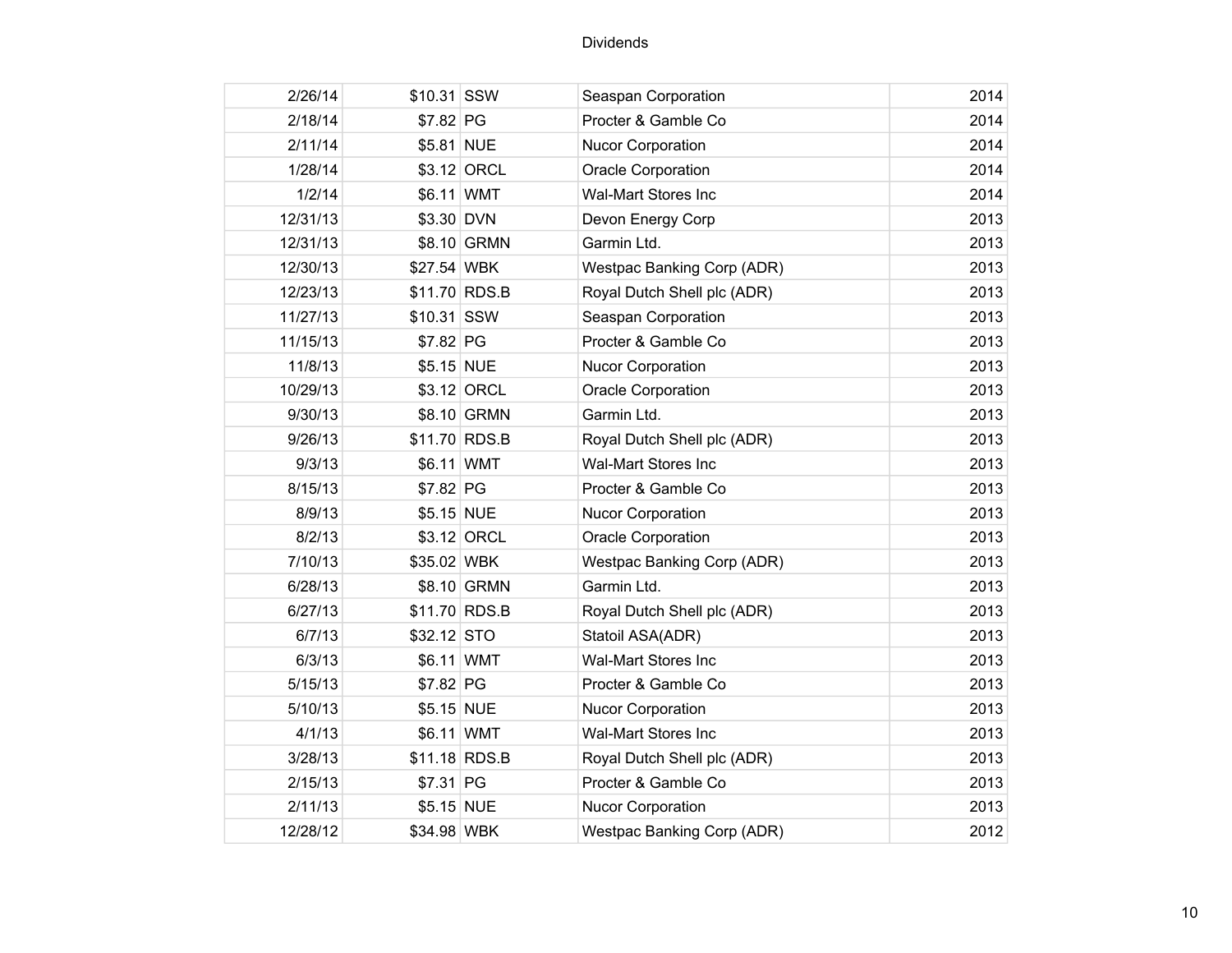| 2/26/14  | \$10.31 SSW |                | Seaspan Corporation               | 2014 |
|----------|-------------|----------------|-----------------------------------|------|
| 2/18/14  | \$7.82 PG   |                | Procter & Gamble Co               | 2014 |
| 2/11/14  | \$5.81 NUE  |                | <b>Nucor Corporation</b>          | 2014 |
| 1/28/14  |             | \$3.12 ORCL    | Oracle Corporation                | 2014 |
| 1/2/14   | \$6.11 WMT  |                | <b>Wal-Mart Stores Inc</b>        | 2014 |
| 12/31/13 | \$3.30 DVN  |                | Devon Energy Corp                 | 2013 |
| 12/31/13 |             | \$8.10 GRMN    | Garmin Ltd.                       | 2013 |
| 12/30/13 | \$27.54 WBK |                | <b>Westpac Banking Corp (ADR)</b> | 2013 |
| 12/23/13 |             | \$11.70 RDS.B  | Royal Dutch Shell plc (ADR)       | 2013 |
| 11/27/13 | \$10.31 SSW |                | Seaspan Corporation               | 2013 |
| 11/15/13 | \$7.82 PG   |                | Procter & Gamble Co               | 2013 |
| 11/8/13  | \$5.15 NUE  |                | <b>Nucor Corporation</b>          | 2013 |
| 10/29/13 |             | \$3.12 ORCL    | <b>Oracle Corporation</b>         | 2013 |
| 9/30/13  |             | \$8.10 GRMN    | Garmin Ltd.                       | 2013 |
| 9/26/13  |             | \$11.70 RDS.B  | Royal Dutch Shell plc (ADR)       | 2013 |
| 9/3/13   | \$6.11 WMT  |                | <b>Wal-Mart Stores Inc</b>        | 2013 |
| 8/15/13  | \$7.82 PG   |                | Procter & Gamble Co               | 2013 |
| 8/9/13   | \$5.15 NUE  |                | <b>Nucor Corporation</b>          | 2013 |
| 8/2/13   |             | \$3.12 ORCL    | Oracle Corporation                | 2013 |
| 7/10/13  | \$35.02 WBK |                | Westpac Banking Corp (ADR)        | 2013 |
| 6/28/13  |             | \$8.10 GRMN    | Garmin Ltd.                       | 2013 |
| 6/27/13  |             | \$11.70 RDS.B  | Royal Dutch Shell plc (ADR)       | 2013 |
| 6/7/13   | \$32.12 STO |                | Statoil ASA(ADR)                  | 2013 |
| 6/3/13   | \$6.11 WMT  |                | <b>Wal-Mart Stores Inc</b>        | 2013 |
| 5/15/13  | \$7.82 PG   |                | Procter & Gamble Co               | 2013 |
| 5/10/13  | \$5.15 NUE  |                | <b>Nucor Corporation</b>          | 2013 |
| 4/1/13   | \$6.11 WMT  |                | <b>Wal-Mart Stores Inc</b>        | 2013 |
| 3/28/13  |             | $$11.18$ RDS.B | Royal Dutch Shell plc (ADR)       | 2013 |
| 2/15/13  | \$7.31 PG   |                | Procter & Gamble Co               | 2013 |
| 2/11/13  | \$5.15 NUE  |                | <b>Nucor Corporation</b>          | 2013 |
| 12/28/12 | \$34.98 WBK |                | Westpac Banking Corp (ADR)        | 2012 |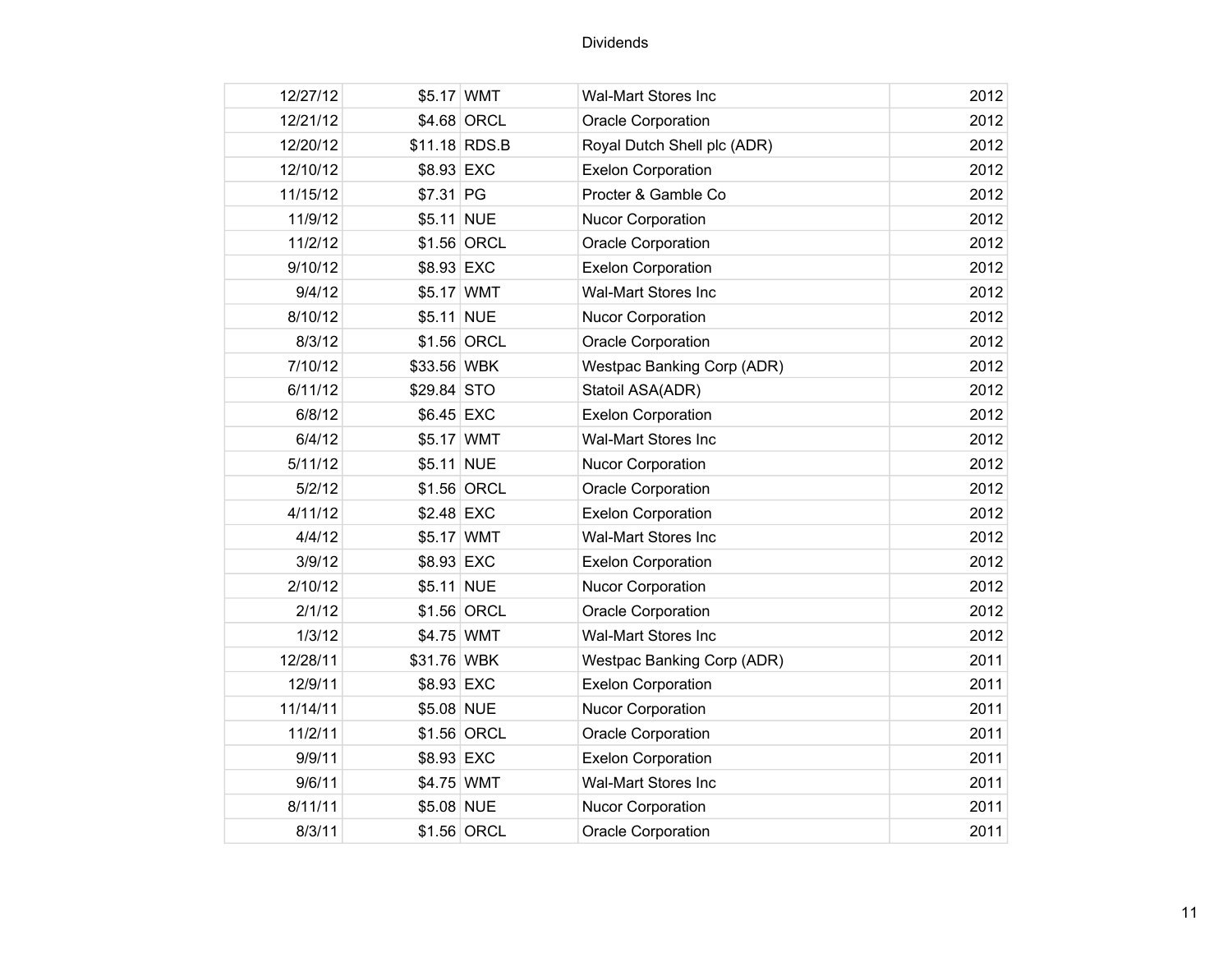| 12/27/12 | \$5.17 WMT    |             | <b>Wal-Mart Stores Inc</b>  | 2012 |
|----------|---------------|-------------|-----------------------------|------|
| 12/21/12 |               | \$4.68 ORCL | Oracle Corporation          | 2012 |
| 12/20/12 | \$11.18 RDS.B |             | Royal Dutch Shell plc (ADR) | 2012 |
| 12/10/12 | \$8.93 EXC    |             | <b>Exelon Corporation</b>   | 2012 |
| 11/15/12 | \$7.31 PG     |             | Procter & Gamble Co         | 2012 |
| 11/9/12  | \$5.11 NUE    |             | <b>Nucor Corporation</b>    | 2012 |
| 11/2/12  |               | \$1.56 ORCL | Oracle Corporation          | 2012 |
| 9/10/12  | \$8.93 EXC    |             | <b>Exelon Corporation</b>   | 2012 |
| 9/4/12   | \$5.17 WMT    |             | <b>Wal-Mart Stores Inc</b>  | 2012 |
| 8/10/12  | \$5.11 NUE    |             | <b>Nucor Corporation</b>    | 2012 |
| 8/3/12   |               | \$1.56 ORCL | <b>Oracle Corporation</b>   | 2012 |
| 7/10/12  | \$33.56 WBK   |             | Westpac Banking Corp (ADR)  | 2012 |
| 6/11/12  | \$29.84 STO   |             | Statoil ASA(ADR)            | 2012 |
| 6/8/12   | \$6.45 EXC    |             | <b>Exelon Corporation</b>   | 2012 |
| 6/4/12   | \$5.17 WMT    |             | Wal-Mart Stores Inc         | 2012 |
| 5/11/12  | \$5.11 NUE    |             | <b>Nucor Corporation</b>    | 2012 |
| 5/2/12   |               | \$1.56 ORCL | <b>Oracle Corporation</b>   | 2012 |
| 4/11/12  | \$2.48 EXC    |             | <b>Exelon Corporation</b>   | 2012 |
| 4/4/12   | \$5.17 WMT    |             | Wal-Mart Stores Inc         | 2012 |
| 3/9/12   | \$8.93 EXC    |             | <b>Exelon Corporation</b>   | 2012 |
| 2/10/12  | \$5.11 NUE    |             | Nucor Corporation           | 2012 |
| 2/1/12   |               | \$1.56 ORCL | <b>Oracle Corporation</b>   | 2012 |
| 1/3/12   | \$4.75 WMT    |             | Wal-Mart Stores Inc         | 2012 |
| 12/28/11 | \$31.76 WBK   |             | Westpac Banking Corp (ADR)  | 2011 |
| 12/9/11  | \$8.93 EXC    |             | <b>Exelon Corporation</b>   | 2011 |
| 11/14/11 | \$5.08 NUE    |             | <b>Nucor Corporation</b>    | 2011 |
| 11/2/11  |               | \$1.56 ORCL | Oracle Corporation          | 2011 |
| 9/9/11   | \$8.93 EXC    |             | <b>Exelon Corporation</b>   | 2011 |
| 9/6/11   | \$4.75 WMT    |             | Wal-Mart Stores Inc         | 2011 |
| 8/11/11  | \$5.08 NUE    |             | <b>Nucor Corporation</b>    | 2011 |
| 8/3/11   |               | \$1.56 ORCL | Oracle Corporation          | 2011 |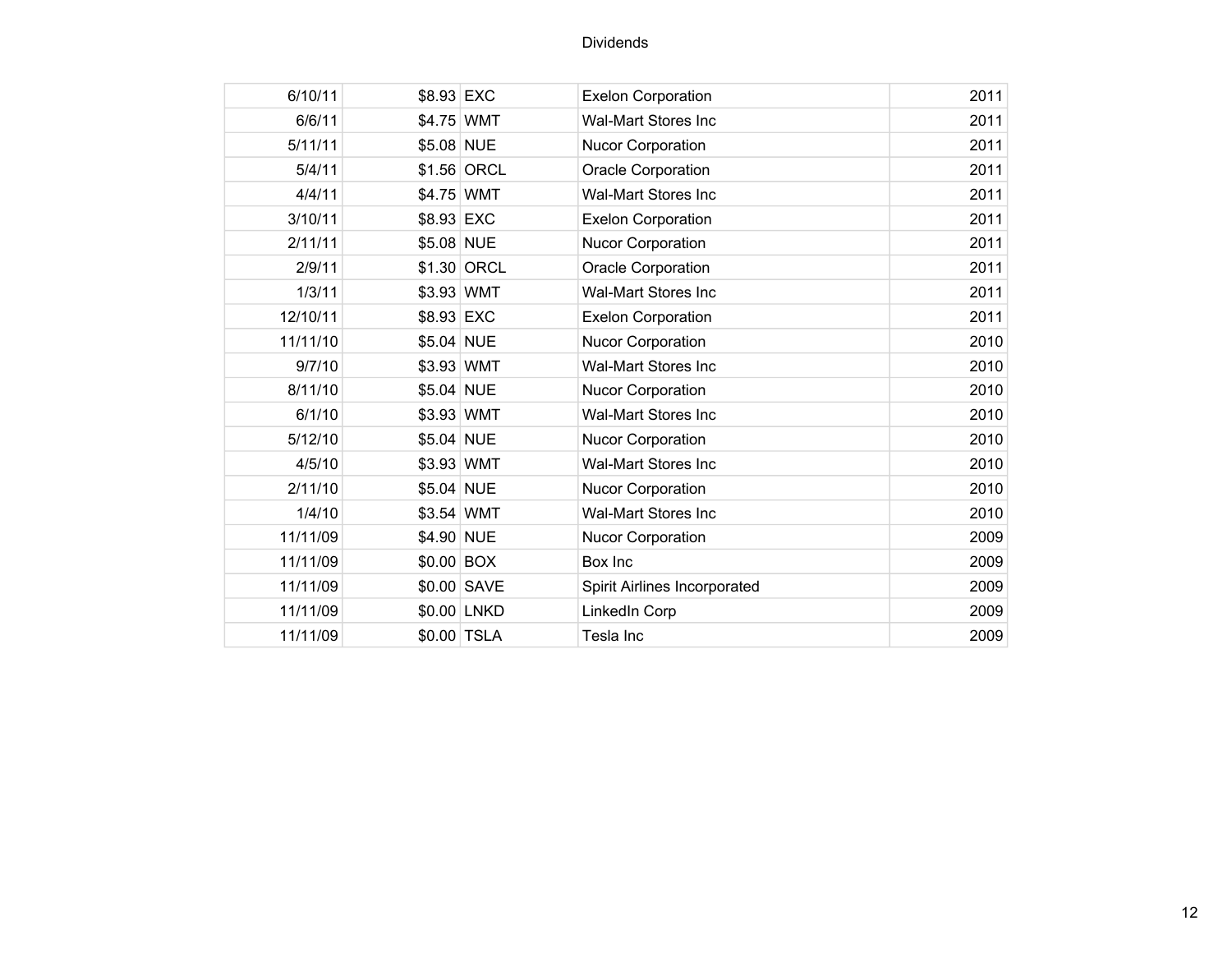| 6/10/11  | \$8.93 EXC |             | <b>Exelon Corporation</b>    | 2011 |  |
|----------|------------|-------------|------------------------------|------|--|
| 6/6/11   | \$4.75 WMT |             | <b>Wal-Mart Stores Inc</b>   | 2011 |  |
| 5/11/11  | \$5.08 NUE |             | Nucor Corporation            | 2011 |  |
| 5/4/11   |            | \$1.56 ORCL | Oracle Corporation           | 2011 |  |
| 4/4/11   | \$4.75 WMT |             | <b>Wal-Mart Stores Inc</b>   | 2011 |  |
| 3/10/11  | \$8.93 EXC |             | <b>Exelon Corporation</b>    | 2011 |  |
| 2/11/11  | \$5.08 NUE |             | <b>Nucor Corporation</b>     | 2011 |  |
| 2/9/11   |            | \$1.30 ORCL | Oracle Corporation           | 2011 |  |
| 1/3/11   | \$3.93 WMT |             | <b>Wal-Mart Stores Inc</b>   | 2011 |  |
| 12/10/11 | \$8.93 EXC |             | <b>Exelon Corporation</b>    | 2011 |  |
| 11/11/10 | \$5.04 NUE |             | Nucor Corporation            | 2010 |  |
| 9/7/10   | \$3.93 WMT |             | <b>Wal-Mart Stores Inc</b>   | 2010 |  |
| 8/11/10  | \$5.04 NUE |             | Nucor Corporation            | 2010 |  |
| 6/1/10   | \$3.93 WMT |             | <b>Wal-Mart Stores Inc</b>   | 2010 |  |
| 5/12/10  | \$5.04 NUE |             | Nucor Corporation            | 2010 |  |
| 4/5/10   | \$3.93 WMT |             | <b>Wal-Mart Stores Inc</b>   | 2010 |  |
| 2/11/10  | \$5.04 NUE |             | Nucor Corporation            | 2010 |  |
| 1/4/10   | \$3.54 WMT |             | <b>Wal-Mart Stores Inc</b>   | 2010 |  |
| 11/11/09 | \$4.90 NUE |             | Nucor Corporation            | 2009 |  |
| 11/11/09 | \$0.00 BOX |             | Box Inc                      | 2009 |  |
| 11/11/09 |            | \$0.00 SAVE | Spirit Airlines Incorporated | 2009 |  |
| 11/11/09 |            | \$0.00 LNKD | LinkedIn Corp                | 2009 |  |
| 11/11/09 |            | \$0.00 TSLA | Tesla Inc                    | 2009 |  |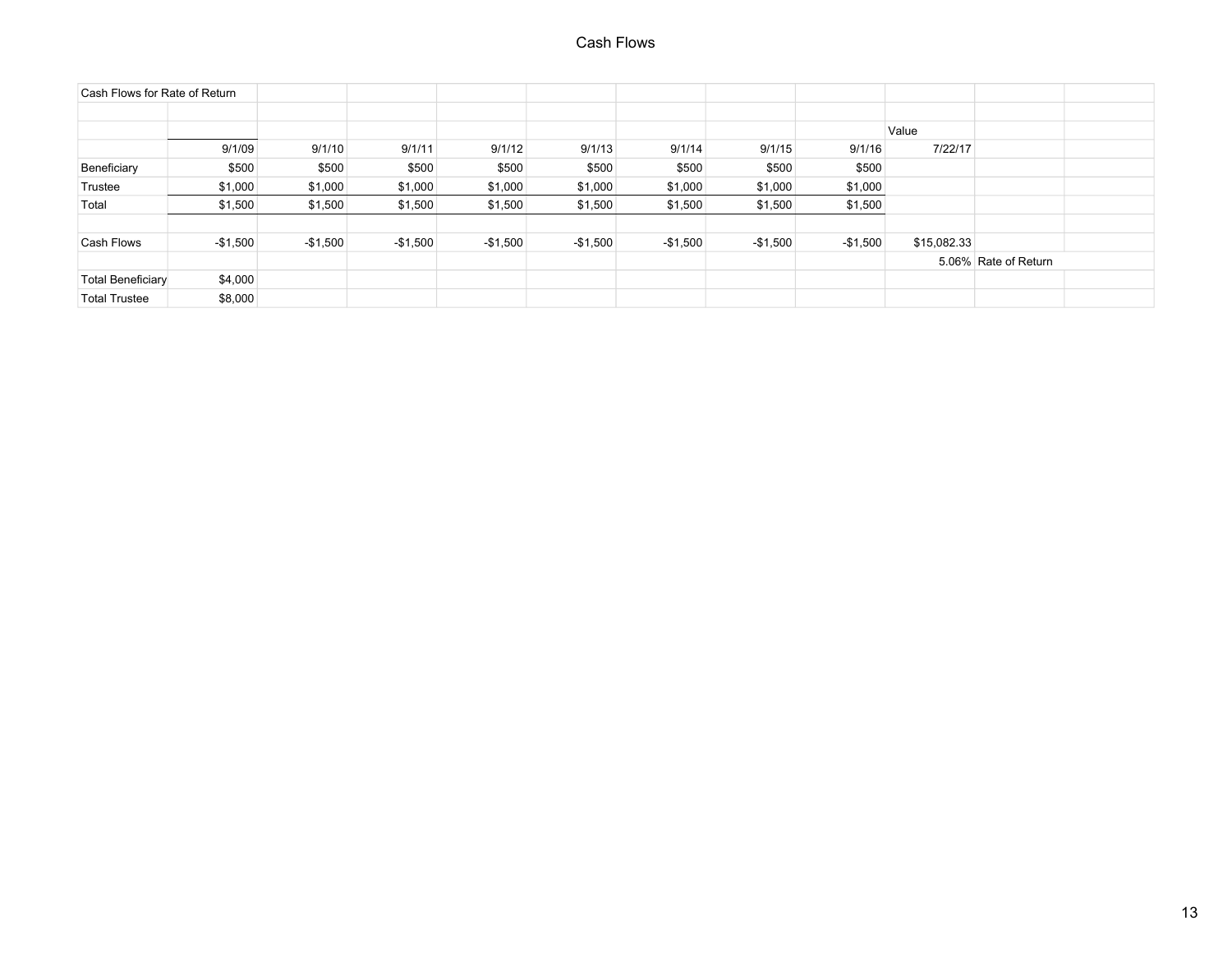| Cash Flows for Rate of Return |           |           |           |           |           |           |           |           |             |                      |  |
|-------------------------------|-----------|-----------|-----------|-----------|-----------|-----------|-----------|-----------|-------------|----------------------|--|
|                               |           |           |           |           |           |           |           |           |             |                      |  |
|                               |           |           |           |           |           |           |           |           | Value       |                      |  |
|                               | 9/1/09    | 9/1/10    | 9/1/11    | 9/1/12    | 9/1/13    | 9/1/14    | 9/1/15    | 9/1/16    | 7/22/17     |                      |  |
| Beneficiary                   | \$500     | \$500     | \$500     | \$500     | \$500     | \$500     | \$500     | \$500     |             |                      |  |
| Trustee                       | \$1,000   | \$1,000   | \$1,000   | \$1,000   | \$1,000   | \$1,000   | \$1,000   | \$1,000   |             |                      |  |
| Total                         | \$1,500   | \$1,500   | \$1,500   | \$1,500   | \$1,500   | \$1,500   | \$1,500   | \$1,500   |             |                      |  |
|                               |           |           |           |           |           |           |           |           |             |                      |  |
| Cash Flows                    | $-$1,500$ | $-$1,500$ | $-$1,500$ | $-$1,500$ | $-$1,500$ | $-$1,500$ | $-$1,500$ | $-$1,500$ | \$15,082.33 |                      |  |
|                               |           |           |           |           |           |           |           |           |             | 5.06% Rate of Return |  |
| <b>Total Beneficiary</b>      | \$4,000   |           |           |           |           |           |           |           |             |                      |  |
| <b>Total Trustee</b>          | \$8,000   |           |           |           |           |           |           |           |             |                      |  |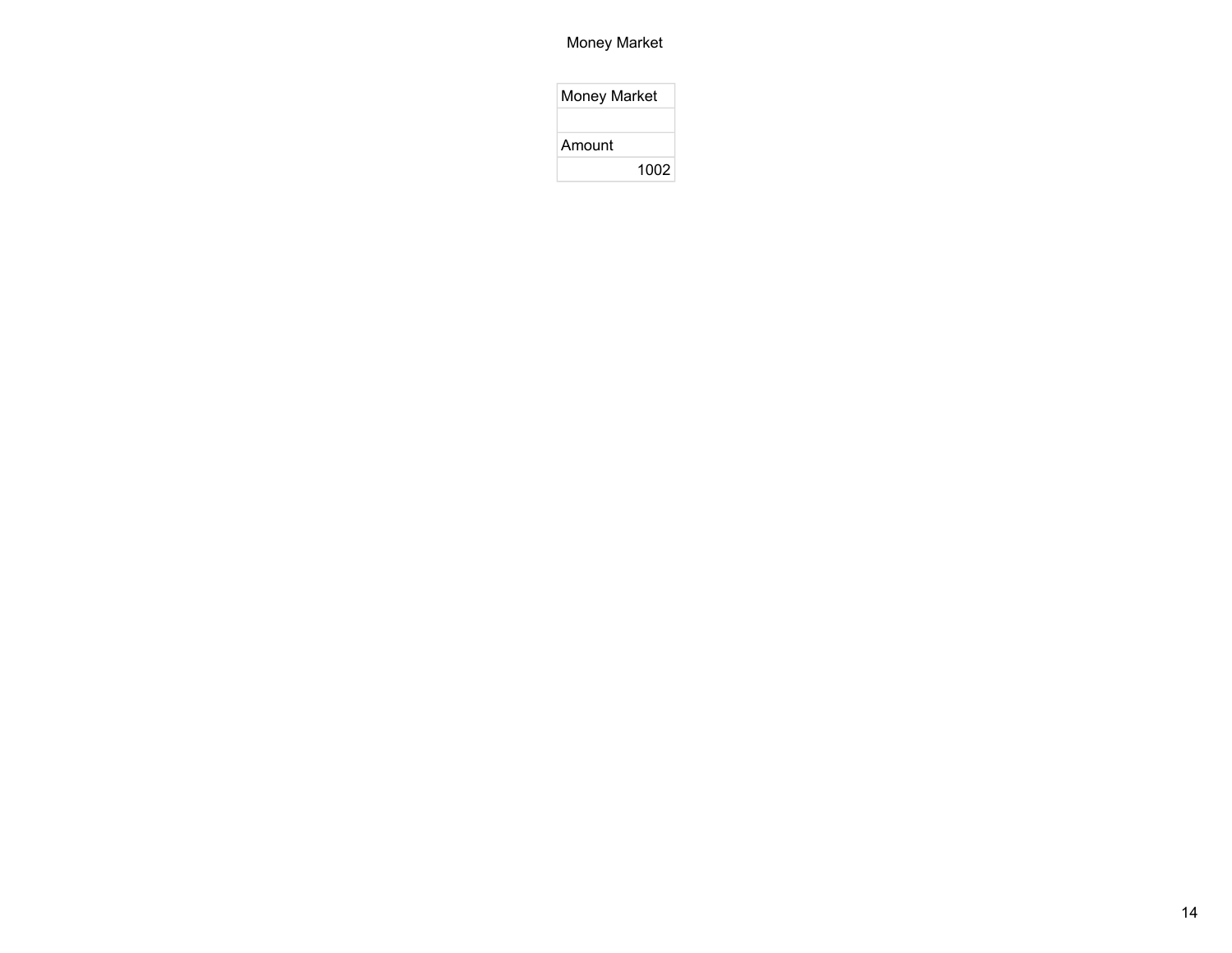## Money Market

| <b>Money Market</b> |      |
|---------------------|------|
|                     |      |
| Amount              |      |
|                     | 1002 |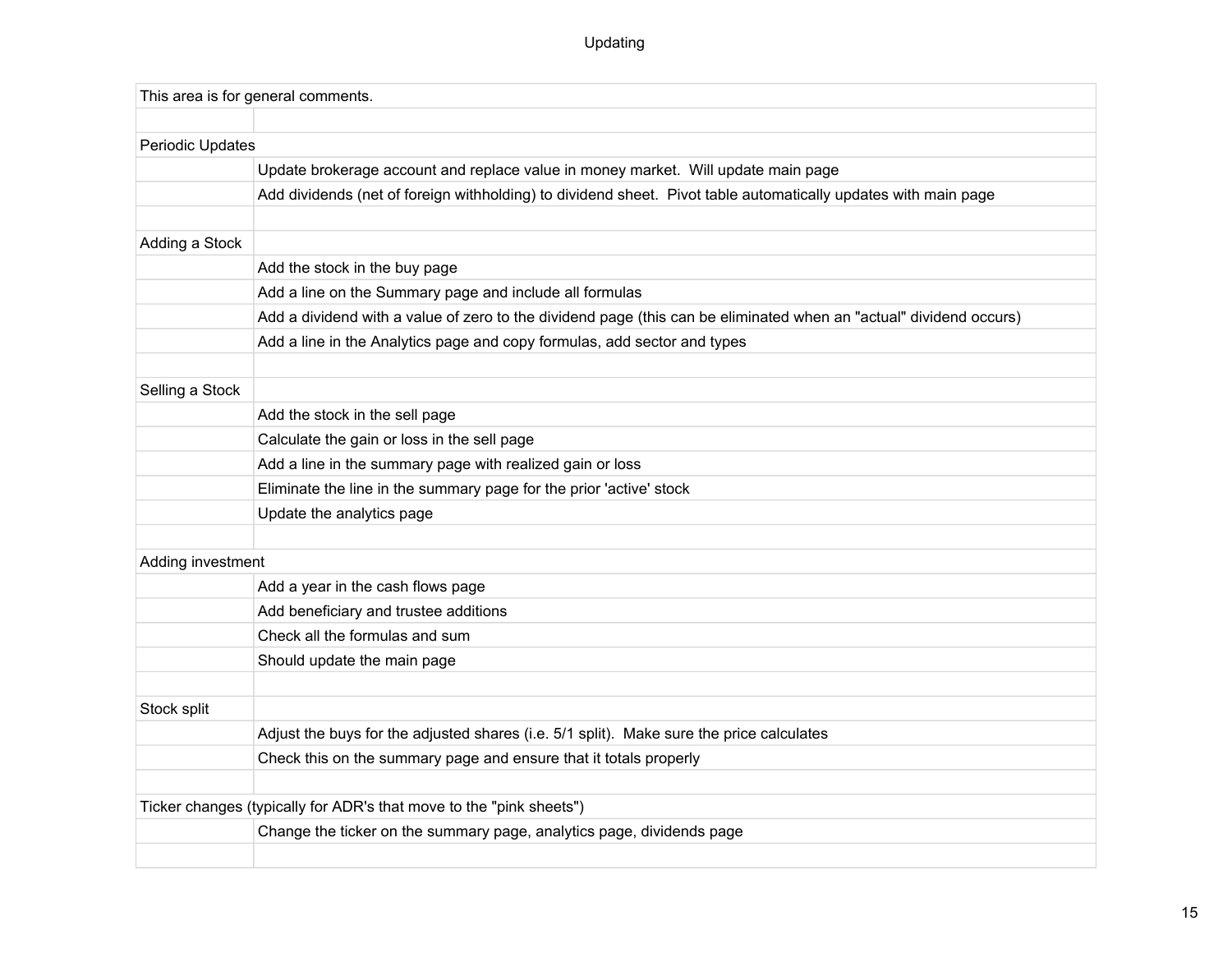# Updating

| This area is for general comments.                                    |                                                                                                                    |  |  |  |  |  |  |
|-----------------------------------------------------------------------|--------------------------------------------------------------------------------------------------------------------|--|--|--|--|--|--|
|                                                                       |                                                                                                                    |  |  |  |  |  |  |
| Periodic Updates                                                      |                                                                                                                    |  |  |  |  |  |  |
|                                                                       | Update brokerage account and replace value in money market. Will update main page                                  |  |  |  |  |  |  |
|                                                                       | Add dividends (net of foreign withholding) to dividend sheet. Pivot table automatically updates with main page     |  |  |  |  |  |  |
|                                                                       |                                                                                                                    |  |  |  |  |  |  |
| Adding a Stock                                                        |                                                                                                                    |  |  |  |  |  |  |
|                                                                       | Add the stock in the buy page                                                                                      |  |  |  |  |  |  |
|                                                                       | Add a line on the Summary page and include all formulas                                                            |  |  |  |  |  |  |
|                                                                       | Add a dividend with a value of zero to the dividend page (this can be eliminated when an "actual" dividend occurs) |  |  |  |  |  |  |
|                                                                       | Add a line in the Analytics page and copy formulas, add sector and types                                           |  |  |  |  |  |  |
|                                                                       |                                                                                                                    |  |  |  |  |  |  |
| Selling a Stock                                                       |                                                                                                                    |  |  |  |  |  |  |
|                                                                       | Add the stock in the sell page                                                                                     |  |  |  |  |  |  |
|                                                                       | Calculate the gain or loss in the sell page                                                                        |  |  |  |  |  |  |
|                                                                       | Add a line in the summary page with realized gain or loss                                                          |  |  |  |  |  |  |
|                                                                       | Eliminate the line in the summary page for the prior 'active' stock                                                |  |  |  |  |  |  |
|                                                                       | Update the analytics page                                                                                          |  |  |  |  |  |  |
|                                                                       |                                                                                                                    |  |  |  |  |  |  |
| Adding investment                                                     |                                                                                                                    |  |  |  |  |  |  |
|                                                                       | Add a year in the cash flows page                                                                                  |  |  |  |  |  |  |
|                                                                       | Add beneficiary and trustee additions                                                                              |  |  |  |  |  |  |
|                                                                       | Check all the formulas and sum                                                                                     |  |  |  |  |  |  |
|                                                                       | Should update the main page                                                                                        |  |  |  |  |  |  |
|                                                                       |                                                                                                                    |  |  |  |  |  |  |
| Stock split                                                           |                                                                                                                    |  |  |  |  |  |  |
|                                                                       | Adjust the buys for the adjusted shares (i.e. 5/1 split). Make sure the price calculates                           |  |  |  |  |  |  |
|                                                                       | Check this on the summary page and ensure that it totals properly                                                  |  |  |  |  |  |  |
|                                                                       |                                                                                                                    |  |  |  |  |  |  |
| Ticker changes (typically for ADR's that move to the "pink sheets")   |                                                                                                                    |  |  |  |  |  |  |
| Change the ticker on the summary page, analytics page, dividends page |                                                                                                                    |  |  |  |  |  |  |
|                                                                       |                                                                                                                    |  |  |  |  |  |  |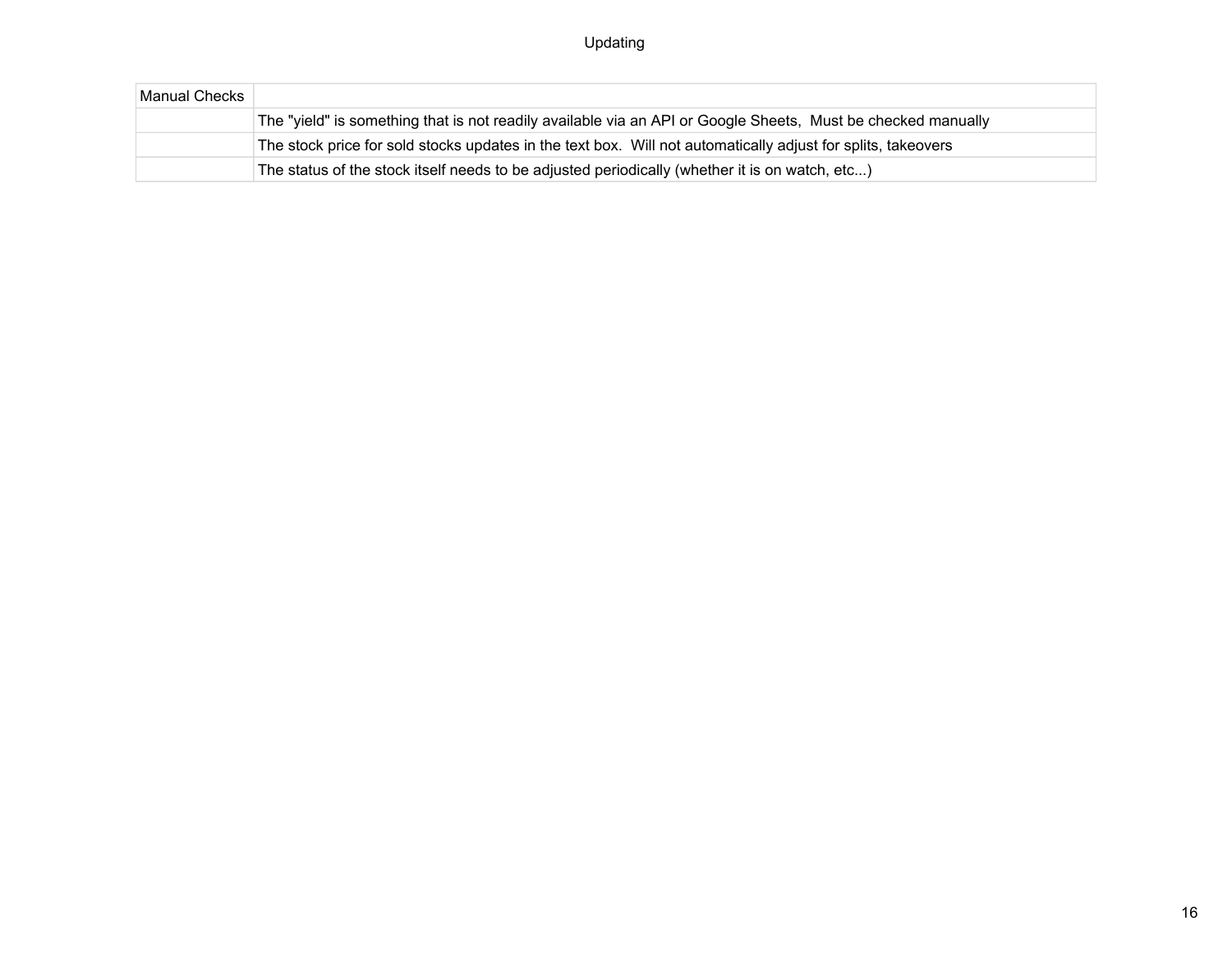| Manual Checks |                                                                                                              |
|---------------|--------------------------------------------------------------------------------------------------------------|
|               | The "yield" is something that is not readily available via an API or Google Sheets, Must be checked manually |
|               | The stock price for sold stocks updates in the text box. Will not automatically adjust for splits, takeovers |
|               | The status of the stock itself needs to be adjusted periodically (whether it is on watch, etc)               |